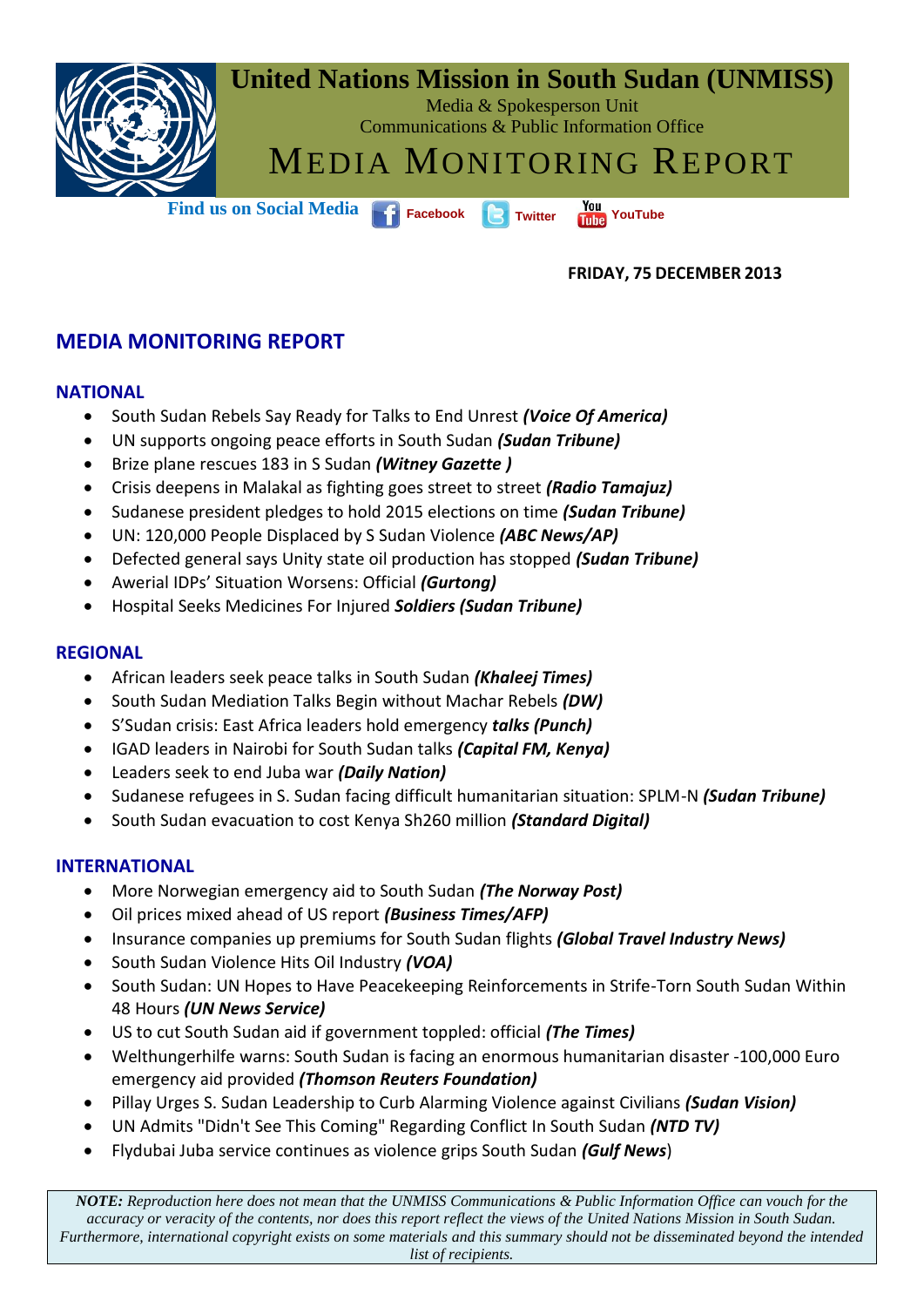

**FRIDAY, 75 DECEMBER 2013**

# **MEDIA MONITORING REPORT**

#### **NATIONAL**

- South Sudan Rebels Say Ready for Talks to End Unrest *(Voice Of America)*
- UN supports ongoing peace efforts in South Sudan *(Sudan Tribune)*
- Brize plane rescues 183 in S Sudan *(Witney Gazette )*
- Crisis deepens in Malakal as fighting goes street to street *(Radio Tamajuz)*
- Sudanese president pledges to hold 2015 elections on time *(Sudan Tribune)*
- UN: 120,000 People Displaced by S Sudan Violence *(ABC News/AP)*
- Defected general says Unity state oil production has stopped *(Sudan Tribune)*
- Awerial IDPs' Situation Worsens: Official *(Gurtong)*
- Hospital Seeks Medicines For Injured *Soldiers (Sudan Tribune)*

#### **REGIONAL**

- African leaders seek peace talks in South Sudan *(Khaleej Times)*
- South Sudan Mediation Talks Begin without Machar Rebels *(DW)*
- S'Sudan crisis: East Africa leaders hold emergency *talks (Punch)*
- IGAD leaders in Nairobi for South Sudan talks *(Capital FM, Kenya)*
- Leaders seek to end Juba war *(Daily Nation)*
- Sudanese refugees in S. Sudan facing difficult humanitarian situation: SPLM-N *(Sudan Tribune)*
- South Sudan evacuation to cost Kenya Sh260 million *(Standard Digital)*

#### **INTERNATIONAL**

- More Norwegian emergency aid to South Sudan *(The Norway Post)*
- Oil prices mixed ahead of US report *(Business Times/AFP)*
- Insurance companies up premiums for South Sudan flights *(Global Travel Industry News)*
- South Sudan Violence Hits Oil Industry *(VOA)*
- South Sudan: UN Hopes to Have Peacekeeping Reinforcements in Strife-Torn South Sudan Within 48 Hours *(UN News Service)*
- US to cut South Sudan aid if government toppled: official *(The Times)*
- Welthungerhilfe warns: South Sudan is facing an enormous humanitarian disaster -100,000 Euro emergency aid provided *(Thomson Reuters Foundation)*
- Pillay Urges S. Sudan Leadership to Curb Alarming Violence against Civilians *(Sudan Vision)*
- UN Admits "Didn't See This Coming" Regarding Conflict In South Sudan *(NTD TV)*
- Flydubai Juba service continues as violence grips South Sudan *(Gulf News*)

*NOTE: Reproduction here does not mean that the UNMISS Communications & Public Information Office can vouch for the accuracy or veracity of the contents, nor does this report reflect the views of the United Nations Mission in South Sudan. Furthermore, international copyright exists on some materials and this summary should not be disseminated beyond the intended list of recipients.*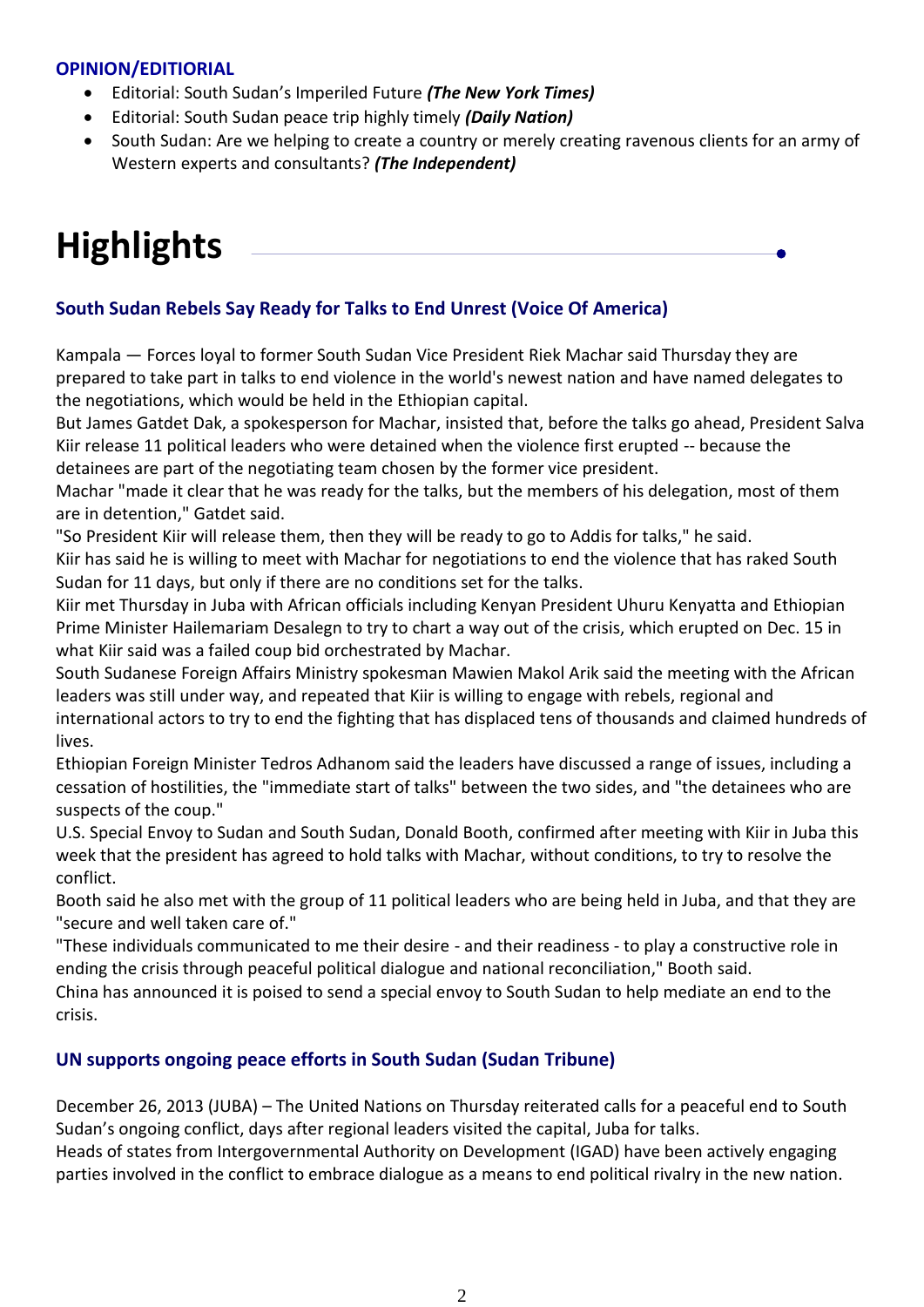#### **OPINION/EDITIORIAL**

- Editorial: South Sudan's Imperiled Future *(The New York Times)*
- Editorial: South Sudan peace trip highly timely *(Daily Nation)*
- South Sudan: Are we helping to create a country or merely creating ravenous clients for an army of Western experts and consultants? *(The Independent)*

# **Highlights**

# **South Sudan Rebels Say Ready for Talks to End Unrest (Voice Of America)**

Kampala — Forces loyal to former South Sudan Vice President Riek Machar said Thursday they are prepared to take part in talks to end violence in the world's newest nation and have named delegates to the negotiations, which would be held in the Ethiopian capital.

But James Gatdet Dak, a spokesperson for Machar, insisted that, before the talks go ahead, President Salva Kiir release 11 political leaders who were detained when the violence first erupted -- because the detainees are part of the negotiating team chosen by the former vice president.

Machar "made it clear that he was ready for the talks, but the members of his delegation, most of them are in detention," Gatdet said.

"So President Kiir will release them, then they will be ready to go to Addis for talks," he said.

Kiir has said he is willing to meet with Machar for negotiations to end the violence that has raked South Sudan for 11 days, but only if there are no conditions set for the talks.

Kiir met Thursday in Juba with African officials including Kenyan President Uhuru Kenyatta and Ethiopian Prime Minister Hailemariam Desalegn to try to chart a way out of the crisis, which erupted on Dec. 15 in what Kiir said was a failed coup bid orchestrated by Machar.

South Sudanese Foreign Affairs Ministry spokesman Mawien Makol Arik said the meeting with the African leaders was still under way, and repeated that Kiir is willing to engage with rebels, regional and international actors to try to end the fighting that has displaced tens of thousands and claimed hundreds of lives.

Ethiopian Foreign Minister Tedros Adhanom said the leaders have discussed a range of issues, including a cessation of hostilities, the "immediate start of talks" between the two sides, and "the detainees who are suspects of the coup."

U.S. Special Envoy to Sudan and South Sudan, Donald Booth, confirmed after meeting with Kiir in Juba this week that the president has agreed to hold talks with Machar, without conditions, to try to resolve the conflict.

Booth said he also met with the group of 11 political leaders who are being held in Juba, and that they are "secure and well taken care of."

"These individuals communicated to me their desire - and their readiness - to play a constructive role in ending the crisis through peaceful political dialogue and national reconciliation," Booth said.

China has announced it is poised to send a special envoy to South Sudan to help mediate an end to the crisis.

# **UN supports ongoing peace efforts in South Sudan (Sudan Tribune)**

December 26, 2013 (JUBA) – The United Nations on Thursday reiterated calls for a peaceful end to South Sudan's ongoing conflict, days after regional leaders visited the capital, Juba for talks.

Heads of states from Intergovernmental Authority on Development (IGAD) have been actively engaging parties involved in the conflict to embrace dialogue as a means to end political rivalry in the new nation.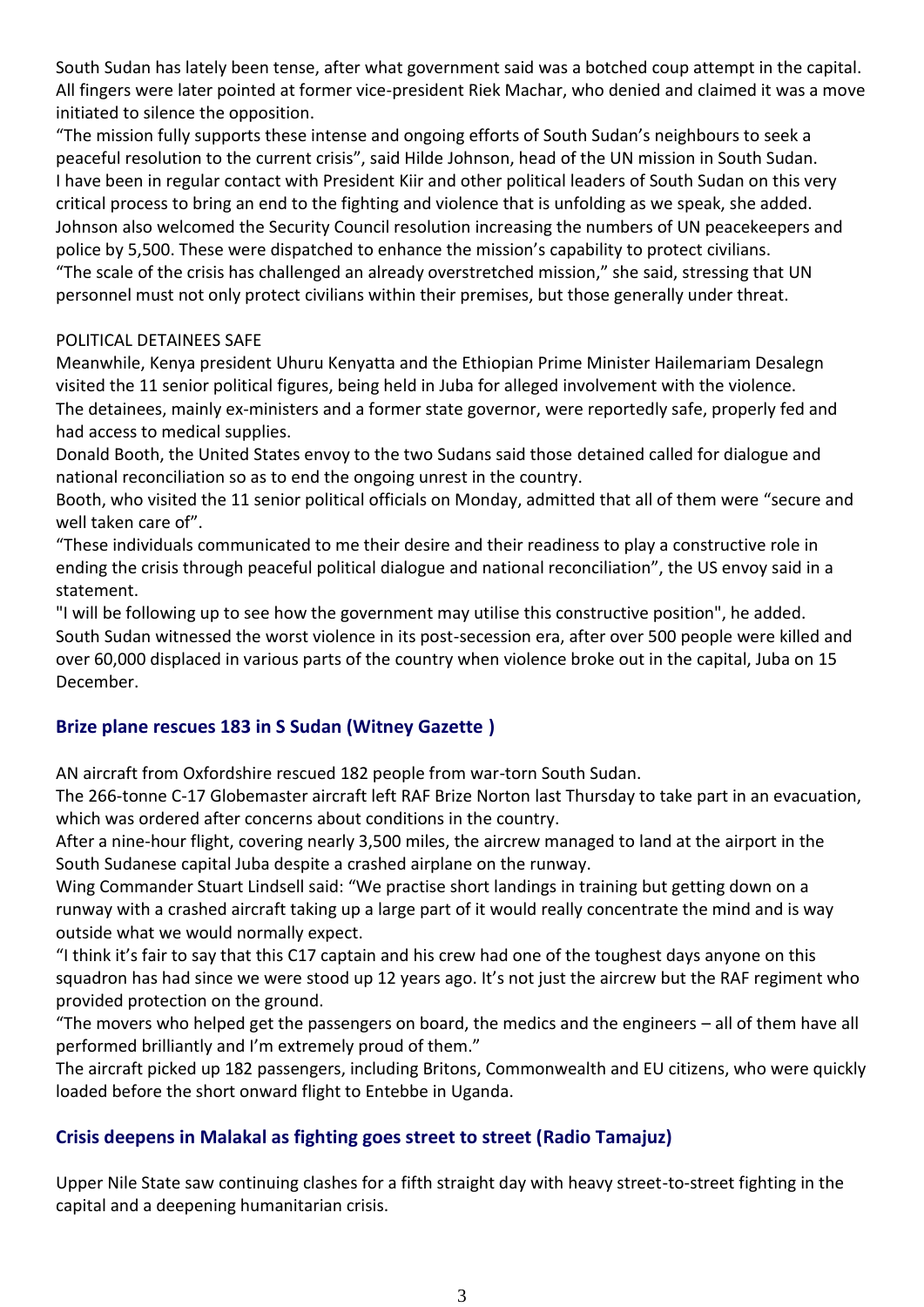South Sudan has lately been tense, after what government said was a botched coup attempt in the capital. All fingers were later pointed at former vice-president Riek Machar, who denied and claimed it was a move initiated to silence the opposition.

"The mission fully supports these intense and ongoing efforts of South Sudan's neighbours to seek a peaceful resolution to the current crisis", said Hilde Johnson, head of the UN mission in South Sudan. I have been in regular contact with President Kiir and other political leaders of South Sudan on this very critical process to bring an end to the fighting and violence that is unfolding as we speak, she added. Johnson also welcomed the Security Council resolution increasing the numbers of UN peacekeepers and police by 5,500. These were dispatched to enhance the mission's capability to protect civilians. "The scale of the crisis has challenged an already overstretched mission," she said, stressing that UN

personnel must not only protect civilians within their premises, but those generally under threat.

#### POLITICAL DETAINEES SAFE

Meanwhile, Kenya president Uhuru Kenyatta and the Ethiopian Prime Minister Hailemariam Desalegn visited the 11 senior political figures, being held in Juba for alleged involvement with the violence. The detainees, mainly ex-ministers and a former state governor, were reportedly safe, properly fed and had access to medical supplies.

Donald Booth, the United States envoy to the two Sudans said those detained called for dialogue and national reconciliation so as to end the ongoing unrest in the country.

Booth, who visited the 11 senior political officials on Monday, admitted that all of them were "secure and well taken care of".

"These individuals communicated to me their desire and their readiness to play a constructive role in ending the crisis through peaceful political dialogue and national reconciliation", the US envoy said in a statement.

"I will be following up to see how the government may utilise this constructive position", he added. South Sudan witnessed the worst violence in its post-secession era, after over 500 people were killed and over 60,000 displaced in various parts of the country when violence broke out in the capital, Juba on 15 December.

## **Brize plane rescues 183 in S Sudan (Witney Gazette )**

AN aircraft from Oxfordshire rescued 182 people from war-torn South Sudan.

The 266-tonne C-17 Globemaster aircraft left [RAF Brize Norton](http://www.witneygazette.co.uk/search/?search=RAF+Brize+Norton&topic_id=5964) last Thursday to take part in an evacuation, which was ordered after concerns about conditions in the country.

After a nine-hour flight, covering nearly 3,500 miles, the aircrew managed to land at the airport in the South Sudanese capital Juba despite a crashed airplane on the runway.

Wing Commander Stuart Lindsell said: "We practise short landings in training but getting down on a runway with a crashed aircraft taking up a large part of it would really concentrate the mind and is way outside what we would normally expect.

"I think it's fair to say that this C17 captain and his crew had one of the toughest days anyone on this squadron has had since we were stood up 12 years ago. It's not just the aircrew but the RAF regiment who provided protection on the ground.

"The movers who helped get the passengers on board, the medics and the engineers – all of them have all performed brilliantly and I'm extremely proud of them."

The aircraft picked up 182 passengers, including Britons, Commonwealth and EU citizens, who were quickly loaded before the short onward flight to Entebbe in Uganda.

## **Crisis deepens in Malakal as fighting goes street to street (Radio Tamajuz)**

Upper Nile State saw continuing clashes for a fifth straight day with heavy street-to-street fighting in the capital and a deepening humanitarian crisis.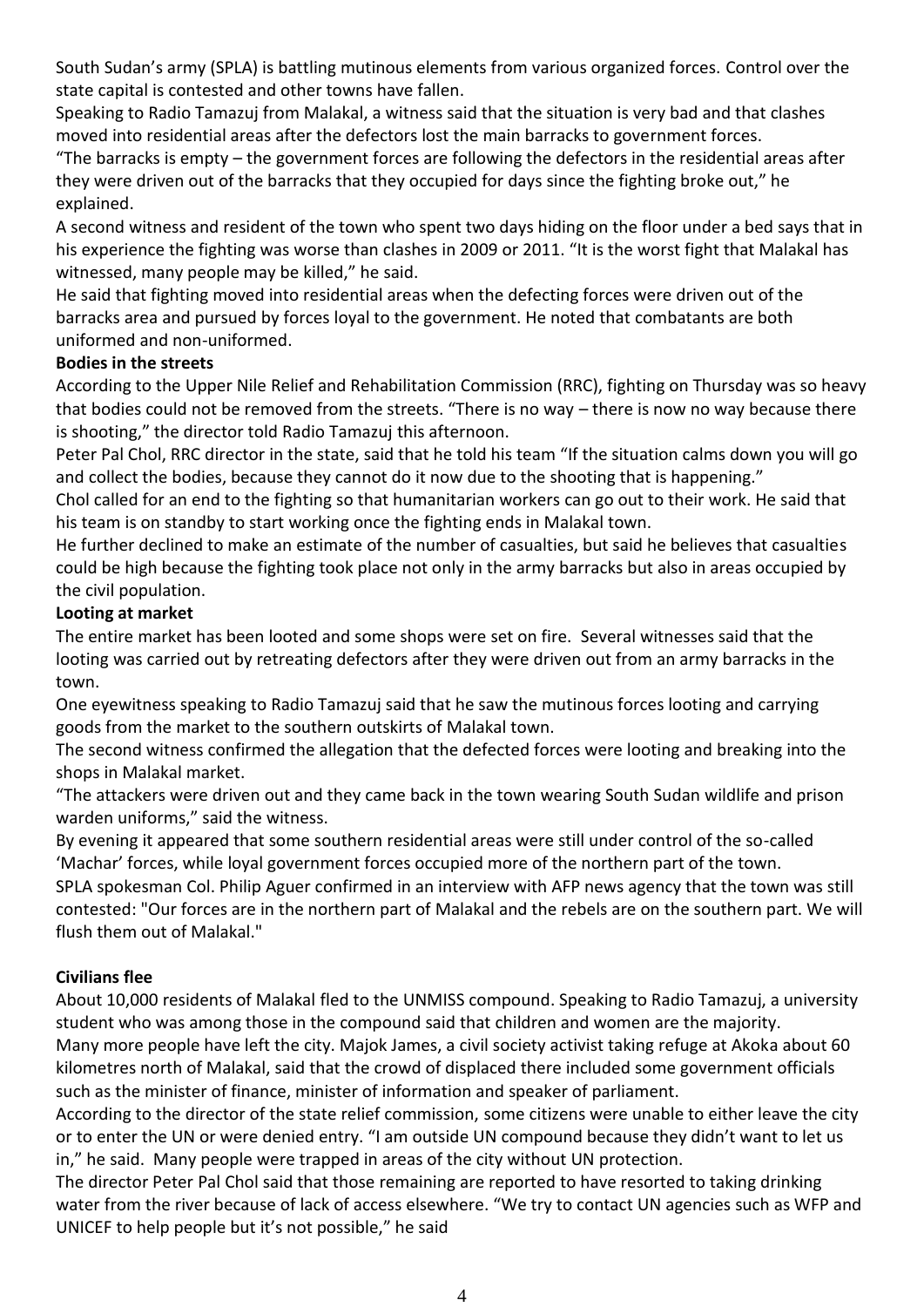South Sudan's army (SPLA) is battling mutinous elements from various organized forces. Control over the state capital is contested and other towns have fallen.

Speaking to Radio Tamazuj from Malakal, a witness said that the situation is very bad and that clashes moved into residential areas after the defectors lost the main barracks to government forces.

"The barracks is empty – the government forces are following the defectors in the residential areas after they were driven out of the barracks that they occupied for days since the fighting broke out," he explained.

A second witness and resident of the town who spent two days hiding on the floor under a bed says that in his experience the fighting was worse than clashes in 2009 or 2011. "It is the worst fight that Malakal has witnessed, many people may be killed," he said.

He said that fighting moved into residential areas when the defecting forces were driven out of the barracks area and pursued by forces loyal to the government. He noted that combatants are both uniformed and non-uniformed.

#### **Bodies in the streets**

According to the Upper Nile Relief and Rehabilitation Commission (RRC), fighting on Thursday was so heavy that bodies could not be removed from the streets. "There is no way – there is now no way because there is shooting," the director told Radio Tamazuj this afternoon.

Peter Pal Chol, RRC director in the state, said that he told his team "If the situation calms down you will go and collect the bodies, because they cannot do it now due to the shooting that is happening."

Chol called for an end to the fighting so that humanitarian workers can go out to their work. He said that his team is on standby to start working once the fighting ends in Malakal town.

He further declined to make an estimate of the number of casualties, but said he believes that casualties could be high because the fighting took place not only in the army barracks but also in areas occupied by the civil population.

#### **Looting at market**

The entire market has been looted and some shops were set on fire. Several witnesses said that the looting was carried out by retreating defectors after they were driven out from an army barracks in the town.

One eyewitness speaking to Radio Tamazuj said that he saw the mutinous forces looting and carrying goods from the market to the southern outskirts of Malakal town.

The second witness confirmed the allegation that the defected forces were looting and breaking into the shops in Malakal market.

"The attackers were driven out and they came back in the town wearing South Sudan wildlife and prison warden uniforms," said the witness.

By evening it appeared that some southern residential areas were still under control of the so-called 'Machar' forces, while loyal government forces occupied more of the northern part of the town.

SPLA spokesman Col. Philip Aguer confirmed in an interview with AFP news agency that the town was still contested: "Our forces are in the northern part of Malakal and the rebels are on the southern part. We will flush them out of Malakal."

## **Civilians flee**

About 10,000 residents of Malakal fled to the UNMISS compound. Speaking to Radio Tamazuj, a university student who was among those in the compound said that children and women are the majority.

Many more people have left the city. Majok James, a civil society activist taking refuge at Akoka about 60 kilometres north of Malakal, said that the crowd of displaced there included some government officials such as the minister of finance, minister of information and speaker of parliament.

According to the director of the state relief commission, some citizens were unable to either leave the city or to enter the UN or were denied entry. "I am outside UN compound because they didn't want to let us in," he said. Many people were trapped in areas of the city without UN protection.

The director Peter Pal Chol said that those remaining are reported to have resorted to taking drinking water from the river because of lack of access elsewhere. "We try to contact UN agencies such as WFP and UNICEF to help people but it's not possible," he said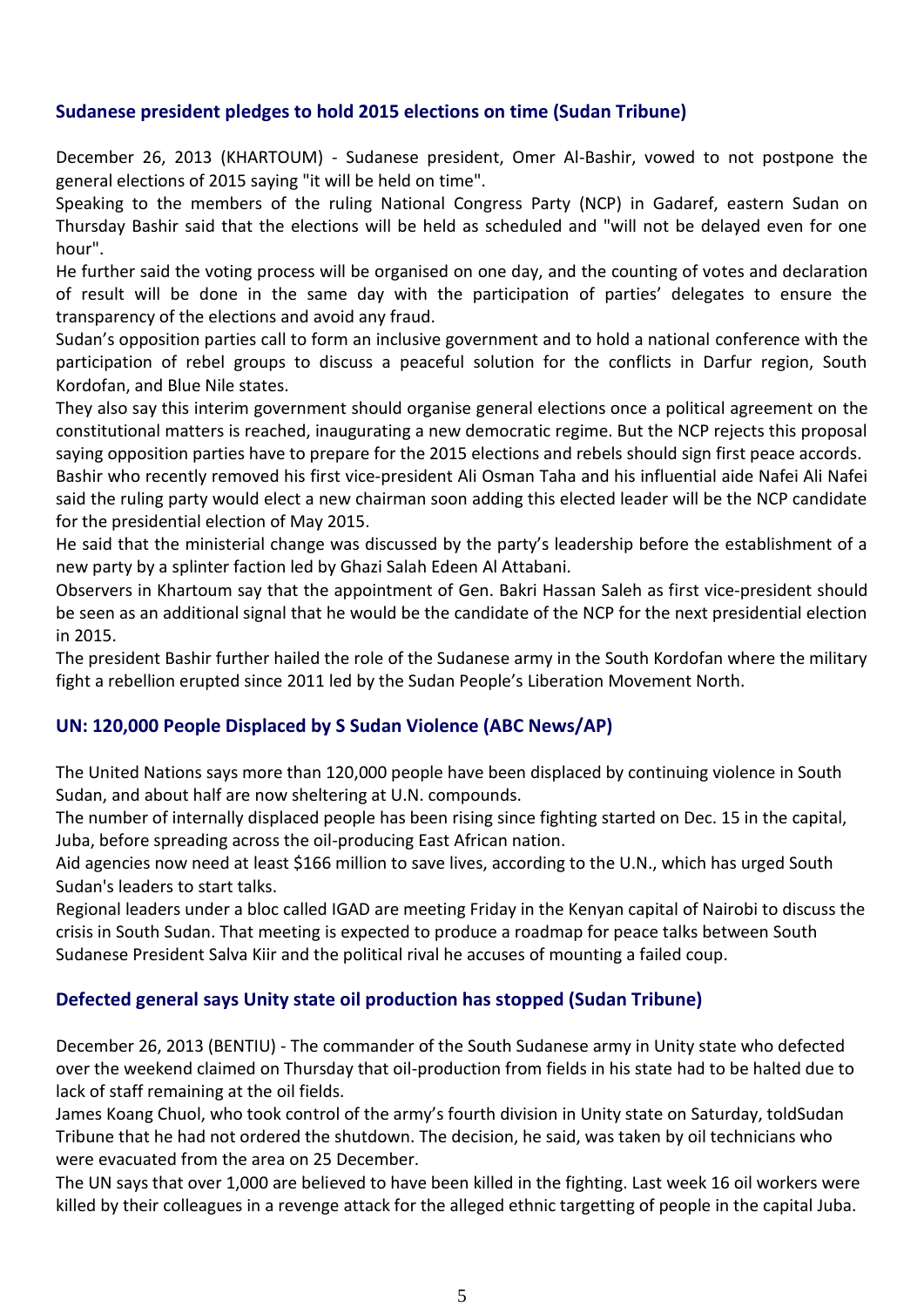#### **Sudanese president pledges to hold 2015 elections on time (Sudan Tribune)**

December 26, 2013 (KHARTOUM) - Sudanese president, Omer Al-Bashir, vowed to not postpone the general elections of 2015 saying "it will be held on time".

Speaking to the members of the ruling National Congress Party (NCP) in Gadaref, eastern Sudan on Thursday Bashir said that the elections will be held as scheduled and "will not be delayed even for one hour".

He further said the voting process will be organised on one day, and the counting of votes and declaration of result will be done in the same day with the participation of parties' delegates to ensure the transparency of the elections and avoid any fraud.

Sudan's opposition parties call to form an inclusive government and to hold a national conference with the participation of rebel groups to discuss a peaceful solution for the conflicts in Darfur region, South Kordofan, and Blue Nile states.

They also say this interim government should organise general elections once a political agreement on the constitutional matters is reached, inaugurating a new democratic regime. But the NCP rejects this proposal saying opposition parties have to prepare for the 2015 elections and rebels should sign first peace accords.

Bashir who recently removed his first vice-president Ali Osman Taha and his influential aide Nafei Ali Nafei said the ruling party would elect a new chairman soon adding this elected leader will be the NCP candidate for the presidential election of May 2015.

He said that the ministerial change was discussed by the party's leadership before the establishment of a new party by a splinter faction led by Ghazi Salah Edeen Al Attabani.

Observers in Khartoum say that the appointment of Gen. Bakri Hassan Saleh as first vice-president should be seen as an additional signal that he would be the candidate of the NCP for the next presidential election in 2015.

The president Bashir further hailed the role of the Sudanese army in the South Kordofan where the military fight a rebellion erupted since 2011 led by the Sudan People's Liberation Movement North.

## **UN: 120,000 People Displaced by S Sudan Violence (ABC News/AP)**

The United Nations says more than 120,000 people have been displaced by continuing violence in South Sudan, and about half are now sheltering at U.N. compounds.

The number of internally displaced people has been rising since fighting started on Dec. 15 in the capital, Juba, before spreading across the oil-producing East African nation.

Aid agencies now need at least \$166 million to save lives, according to the U.N., which has urged South Sudan's leaders to start talks.

Regional leaders under a bloc called IGAD are meeting Friday in the Kenyan capital of Nairobi to discuss the crisis in South Sudan. That meeting is expected to produce a roadmap for peace talks between South Sudanese President Salva Kiir and the political rival he accuses of mounting a failed coup.

## **Defected general says Unity state oil production has stopped (Sudan Tribune)**

December 26, 2013 (BENTIU) - The commander of the South Sudanese army in Unity state who defected over the weekend claimed on Thursday that oil-production from fields in his state had to be halted due to lack of staff remaining at the oil fields.

James Koang Chuol, who took control of the army's fourth division in Unity state on Saturday, toldSudan Tribune that he had not ordered the shutdown. The decision, he said, was taken by oil technicians who were evacuated from the area on 25 December.

The UN says that over 1,000 are believed to have been killed in the fighting. Last week 16 oil workers were killed by their colleagues in a revenge attack for the alleged ethnic targetting of people in the capital Juba.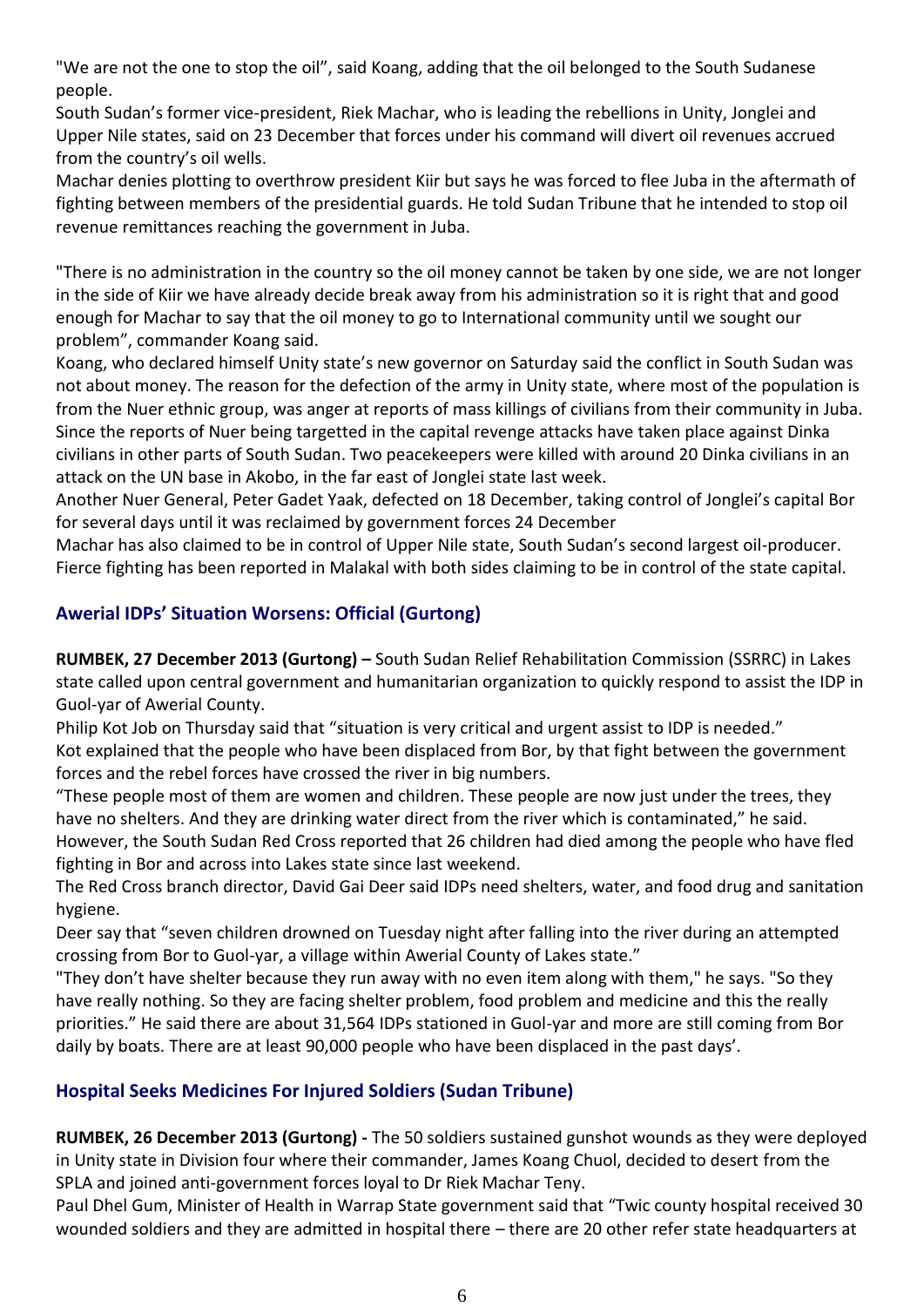"We are not the one to stop the oil", said Koang, adding that the oil belonged to the South Sudanese people.

South Sudan's former vice-president, Riek Machar, who is leading the rebellions in Unity, Jonglei and Upper Nile states, said on 23 December that forces under his command will divert oil revenues accrued from the country's oil wells.

Machar denies plotting to overthrow president Kiir but says he was forced to flee Juba in the aftermath of fighting between members of the presidential guards. He told Sudan Tribune that he intended to stop oil revenue remittances reaching the government in Juba.

"There is no administration in the country so the oil money cannot be taken by one side, we are not longer in the side of Kiir we have already decide break away from his administration so it is right that and good enough for Machar to say that the oil money to go to International community until we sought our problem", commander Koang said.

Koang, who declared himself Unity state's new governor on Saturday said the conflict in South Sudan was not about money. The reason for the defection of the army in Unity state, where most of the population is from the Nuer ethnic group, was anger at reports of mass killings of civilians from their community in Juba. Since the reports of Nuer being targetted in the capital revenge attacks have taken place against Dinka civilians in other parts of South Sudan. Two peacekeepers were killed with around 20 Dinka civilians in an attack on the UN base in Akobo, in the far east of Jonglei state last week.

Another Nuer General, Peter Gadet Yaak, defected on 18 December, taking control of Jonglei's capital Bor for several days until it was reclaimed by government forces 24 December

Machar has also claimed to be in control of Upper Nile state, South Sudan's second largest oil-producer. Fierce fighting has been reported in Malakal with both sides claiming to be in control of the state capital.

# **Awerial IDPs' Situation Worsens: Official (Gurtong)**

**RUMBEK, 27 December 2013 (Gurtong) –** South Sudan Relief Rehabilitation Commission (SSRRC) in Lakes state called upon central government and humanitarian organization to quickly respond to assist the IDP in Guol-yar of Awerial County.

Philip Kot Job on Thursday said that "situation is very critical and urgent assist to IDP is needed." Kot explained that the people who have been displaced from Bor, by that fight between the government forces and the rebel forces have crossed the river in big numbers.

"These people most of them are women and children. These people are now just under the trees, they have no shelters. And they are drinking water direct from the river which is contaminated," he said. However, the South Sudan Red Cross reported that 26 children had died among the people who have fled fighting in Bor and across into Lakes state since last weekend.

The Red Cross branch director, David Gai Deer said IDPs need shelters, water, and food drug and sanitation hygiene.

Deer say that "seven children drowned on Tuesday night after falling into the river during an attempted crossing from Bor to Guol-yar, a village within Awerial County of Lakes state."

"They don't have shelter because they run away with no even item along with them," he says. "So they have really nothing. So they are facing shelter problem, food problem and medicine and this the really priorities." He said there are about 31,564 IDPs stationed in Guol-yar and more are still coming from Bor daily by boats. There are at least 90,000 people who have been displaced in the past days'.

## **Hospital Seeks Medicines For Injured Soldiers (Sudan Tribune)**

**RUMBEK, 26 December 2013 (Gurtong) -** The 50 soldiers sustained gunshot wounds as they were deployed in Unity state in Division four where their commander, James Koang Chuol, decided to desert from the SPLA and joined anti-government forces loyal to Dr Riek Machar Teny.

Paul Dhel Gum, Minister of Health in Warrap State government said that "Twic county hospital received 30 wounded soldiers and they are admitted in hospital there – there are 20 other refer state headquarters at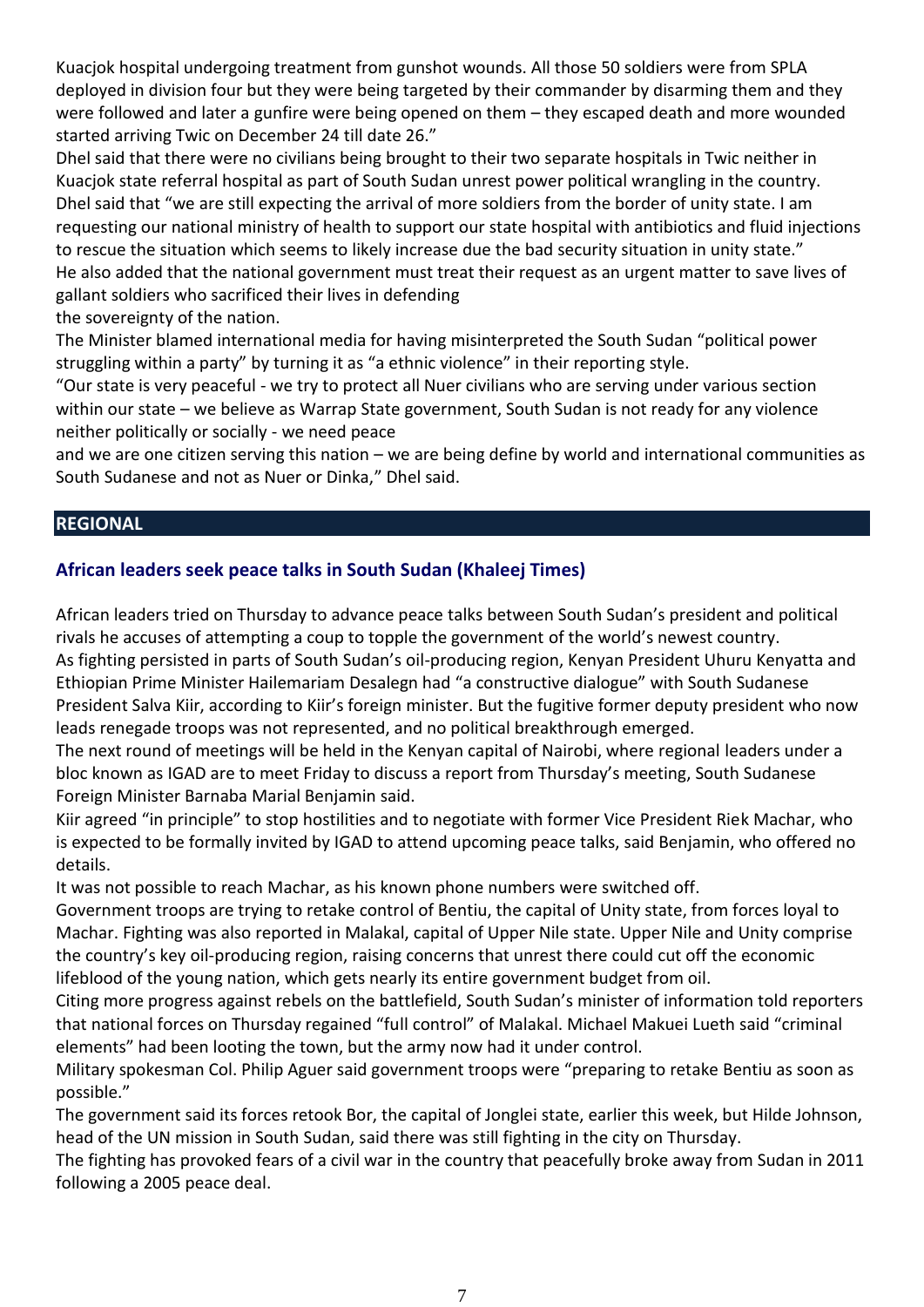Kuacjok hospital undergoing treatment from gunshot wounds. All those 50 soldiers were from SPLA deployed in division four but they were being targeted by their commander by disarming them and they were followed and later a gunfire were being opened on them – they escaped death and more wounded started arriving Twic on December 24 till date 26."

Dhel said that there were no civilians being brought to their two separate hospitals in Twic neither in Kuacjok state referral hospital as part of South Sudan unrest power political wrangling in the country. Dhel said that "we are still expecting the arrival of more soldiers from the border of unity state. I am requesting our national ministry of health to support our state hospital with antibiotics and fluid injections to rescue the situation which seems to likely increase due the bad security situation in unity state." He also added that the national government must treat their request as an urgent matter to save lives of gallant soldiers who sacrificed their lives in defending

the sovereignty of the nation.

The Minister blamed international media for having misinterpreted the South Sudan "political power struggling within a party" by turning it as "a ethnic violence" in their reporting style.

"Our state is very peaceful - we try to protect all Nuer civilians who are serving under various section within our state – we believe as Warrap State government, South Sudan is not ready for any violence neither politically or socially - we need peace

and we are one citizen serving this nation – we are being define by world and international communities as South Sudanese and not as Nuer or Dinka," Dhel said.

#### **REGIONAL**

## **African leaders seek peace talks in South Sudan (Khaleej Times)**

African leaders tried on Thursday to advance peace talks between South Sudan's president and political rivals he accuses of attempting a coup to topple the government of the world's newest country. As fighting persisted in parts of South Sudan's oil-producing region, Kenyan President Uhuru Kenyatta and Ethiopian Prime Minister Hailemariam Desalegn had "a constructive dialogue" with South Sudanese President Salva Kiir, according to Kiir's foreign minister. But the fugitive former deputy president who now leads renegade troops was not represented, and no political breakthrough emerged.

The next round of meetings will be held in the Kenyan capital of Nairobi, where regional leaders under a bloc known as IGAD are to meet Friday to discuss a report from Thursday's meeting, South Sudanese Foreign Minister Barnaba Marial Benjamin said.

Kiir agreed "in principle" to stop hostilities and to negotiate with former Vice President Riek Machar, who is expected to be formally invited by IGAD to attend upcoming peace talks, said Benjamin, who offered no details.

It was not possible to reach Machar, as his known phone numbers were switched off.

Government troops are trying to retake control of Bentiu, the capital of Unity state, from forces loyal to Machar. Fighting was also reported in Malakal, capital of Upper Nile state. Upper Nile and Unity comprise the country's key oil-producing region, raising concerns that unrest there could cut off the economic lifeblood of the young nation, which gets nearly its entire government budget from oil.

Citing more progress against rebels on the battlefield, South Sudan's minister of information told reporters that national forces on Thursday regained "full control" of Malakal. Michael Makuei Lueth said "criminal elements" had been looting the town, but the army now had it under control.

Military spokesman Col. Philip Aguer said government troops were "preparing to retake Bentiu as soon as possible."

The government said its forces retook Bor, the capital of Jonglei state, earlier this week, but Hilde Johnson, head of the UN mission in South Sudan, said there was still fighting in the city on Thursday.

The fighting has provoked fears of a civil war in the country that peacefully broke away from Sudan in 2011 following a 2005 peace deal.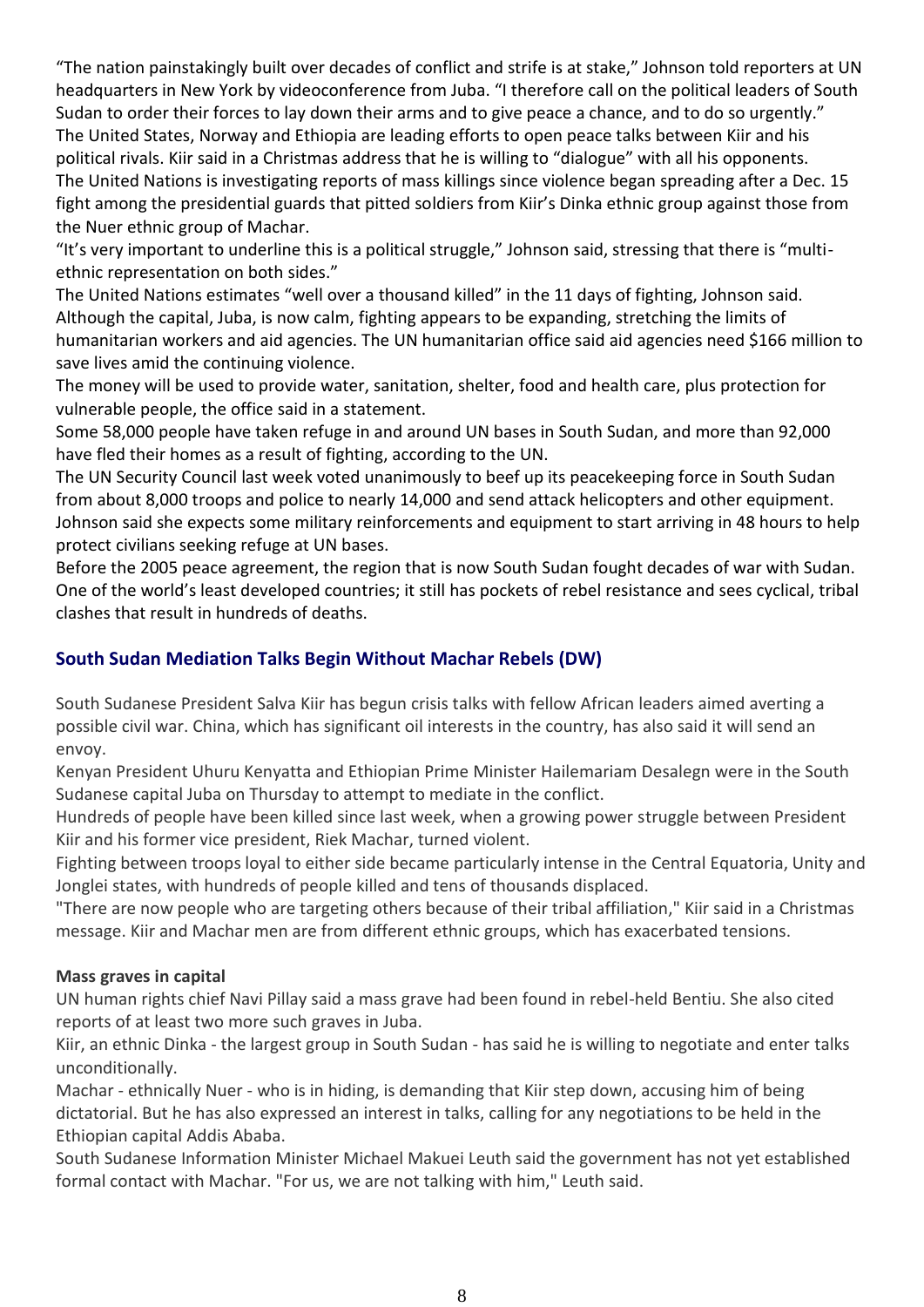"The nation painstakingly built over decades of conflict and strife is at stake," Johnson told reporters at UN headquarters in New York by videoconference from Juba. "I therefore call on the political leaders of South Sudan to order their forces to lay down their arms and to give peace a chance, and to do so urgently." The United States, Norway and Ethiopia are leading efforts to open peace talks between Kiir and his political rivals. Kiir said in a Christmas address that he is willing to "dialogue" with all his opponents. The United Nations is investigating reports of mass killings since violence began spreading after a Dec. 15 fight among the presidential guards that pitted soldiers from Kiir's Dinka ethnic group against those from the Nuer ethnic group of Machar.

"It's very important to underline this is a political struggle," Johnson said, stressing that there is "multiethnic representation on both sides."

The United Nations estimates "well over a thousand killed" in the 11 days of fighting, Johnson said. Although the capital, Juba, is now calm, fighting appears to be expanding, stretching the limits of humanitarian workers and aid agencies. The UN humanitarian office said aid agencies need \$166 million to save lives amid the continuing violence.

The money will be used to provide water, sanitation, shelter, food and health care, plus protection for vulnerable people, the office said in a statement.

Some 58,000 people have taken refuge in and around UN bases in South Sudan, and more than 92,000 have fled their homes as a result of fighting, according to the UN.

The UN Security Council last week voted unanimously to beef up its peacekeeping force in South Sudan from about 8,000 troops and police to nearly 14,000 and send attack helicopters and other equipment. Johnson said she expects some military reinforcements and equipment to start arriving in 48 hours to help protect civilians seeking refuge at UN bases.

Before the 2005 peace agreement, the region that is now South Sudan fought decades of war with Sudan. One of the world's least developed countries; it still has pockets of rebel resistance and sees cyclical, tribal clashes that result in hundreds of deaths.

# **South Sudan Mediation Talks Begin Without Machar Rebels (DW)**

South Sudanese President Salva Kiir has begun crisis talks with fellow African leaders aimed averting a possible civil war. China, which has significant oil interests in the country, has also said it will send an envoy.

Kenyan President Uhuru Kenyatta and Ethiopian Prime Minister Hailemariam Desalegn were in the South Sudanese capital Juba on Thursday to attempt to mediate in the conflict.

Hundreds of people have been killed since last week, when a growing power struggle between President Kiir and his former vice president, Riek Machar, turned violent.

Fighting between troops loyal to either side became particularly intense in the Central Equatoria, Unity and Jonglei states, with hundreds of people killed and tens of thousands displaced.

"There are now people who are targeting others because of their tribal affiliation," Kiir said in a Christmas message. Kiir and Machar men are from different ethnic groups, which has exacerbated tensions.

#### **Mass graves in capital**

UN human rights chief Navi Pillay said a mass grave had been found in rebel-held Bentiu. She also cited reports of at least two more such graves in Juba.

Kiir, an ethnic Dinka - the largest group in South Sudan - has said he is willing to negotiate and enter talks unconditionally.

Machar - ethnically Nuer - who is in hiding, is demanding that Kiir step down, accusing him of being dictatorial. But he has also expressed an interest in talks, calling for any negotiations to be held in the Ethiopian capital Addis Ababa.

South Sudanese Information Minister Michael Makuei Leuth said the government has not yet established formal contact with Machar. "For us, we are not talking with him," Leuth said.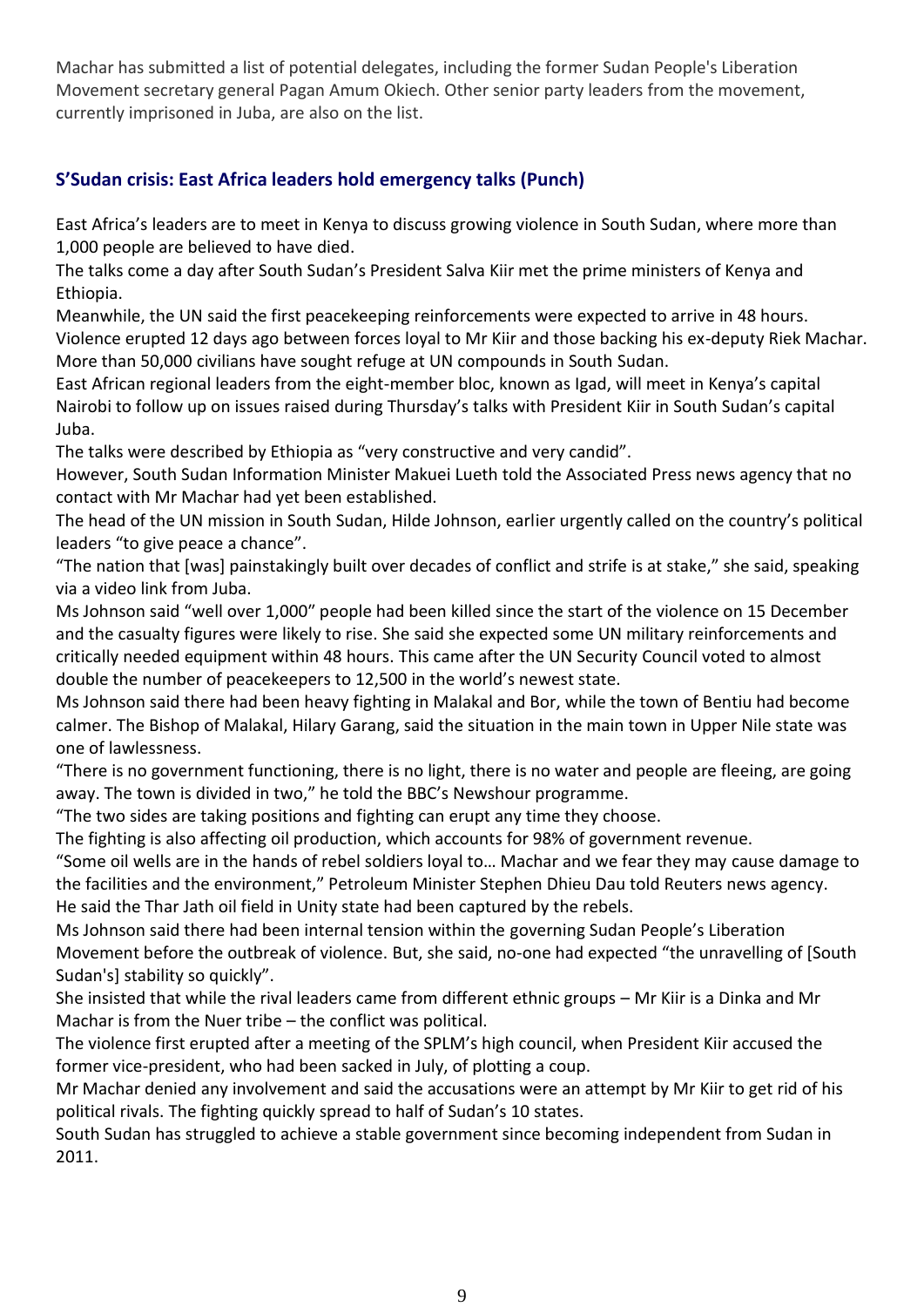Machar has submitted a list of potential delegates, including the former Sudan People's Liberation Movement secretary general Pagan Amum Okiech. Other senior party leaders from the movement, currently imprisoned in Juba, are also on the list.

# **S'Sudan crisis: East Africa leaders hold emergency talks (Punch)**

East Africa's leaders are to meet in Kenya to discuss growing violence in South Sudan, where more than 1,000 people are believed to have died.

The talks come a day after South Sudan's President Salva Kiir met the prime ministers of Kenya and Ethiopia.

Meanwhile, the UN said the first peacekeeping reinforcements were expected to arrive in 48 hours. Violence erupted 12 days ago between forces loyal to Mr Kiir and those backing his ex-deputy Riek Machar. More than 50,000 civilians have sought refuge at UN compounds in South Sudan.

East African regional leaders from the eight-member bloc, known as Igad, will meet in Kenya's capital Nairobi to follow up on issues raised during Thursday's talks with President Kiir in South Sudan's capital Juba.

The talks were described by Ethiopia as "very constructive and very candid".

However, South Sudan Information Minister Makuei Lueth told the Associated Press news agency that no contact with Mr Machar had yet been established.

The head of the UN mission in South Sudan, Hilde Johnson, earlier urgently called on the country's political leaders "to give peace a chance".

"The nation that [was] painstakingly built over decades of conflict and strife is at stake," she said, speaking via a video link from Juba.

Ms Johnson said "well over 1,000″ people had been killed since the start of the violence on 15 December and the casualty figures were likely to rise. She said she expected some UN military reinforcements and critically needed equipment within 48 hours. This came after the UN Security Council voted to almost double the number of peacekeepers to 12,500 in the world's newest state.

Ms Johnson said there had been heavy fighting in Malakal and Bor, while the town of Bentiu had become calmer. The Bishop of Malakal, Hilary Garang, said the situation in the main town in Upper Nile state was one of lawlessness.

"There is no government functioning, there is no light, there is no water and people are fleeing, are going away. The town is divided in two," he told the BBC's Newshour programme.

"The two sides are taking positions and fighting can erupt any time they choose.

The fighting is also affecting oil production, which accounts for 98% of government revenue.

"Some oil wells are in the hands of rebel soldiers loyal to… Machar and we fear they may cause damage to the facilities and the environment," Petroleum Minister Stephen Dhieu Dau told Reuters news agency. He said the Thar Jath oil field in Unity state had been captured by the rebels.

Ms Johnson said there had been internal tension within the governing Sudan People's Liberation Movement before the outbreak of violence. But, she said, no-one had expected "the unravelling of [South Sudan's] stability so quickly".

She insisted that while the rival leaders came from different ethnic groups – Mr Kiir is a Dinka and Mr Machar is from the Nuer tribe – the conflict was political.

The violence first erupted after a meeting of the SPLM's high council, when President Kiir accused the former vice-president, who had been sacked in July, of plotting a coup.

Mr Machar denied any involvement and said the accusations were an attempt by Mr Kiir to get rid of his political rivals. The fighting quickly spread to half of Sudan's 10 states.

South Sudan has struggled to achieve a stable government since becoming independent from Sudan in 2011.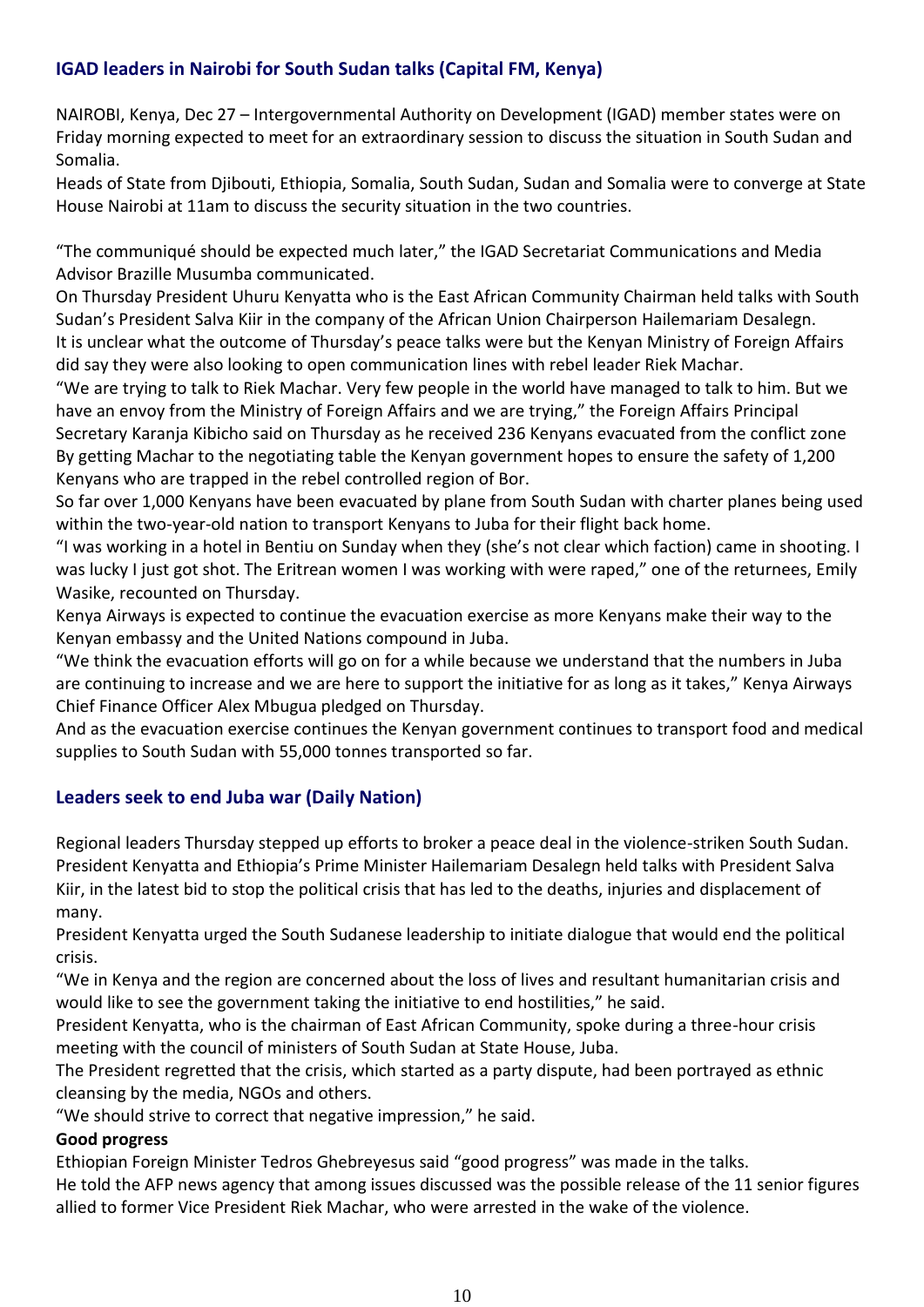## **IGAD leaders in Nairobi for South Sudan talks (Capital FM, Kenya)**

NAIROBI, Kenya, Dec 27 – Intergovernmental Authority on Development (IGAD) member states were on Friday morning expected to meet for an extraordinary session to discuss the situation in South Sudan and Somalia.

Heads of State from Djibouti, Ethiopia, Somalia, South Sudan, Sudan and Somalia were to converge at State House Nairobi at 11am to discuss the security situation in the two countries.

"The communiqué should be expected much later," the IGAD Secretariat Communications and Media Advisor Brazille Musumba communicated.

On Thursday President Uhuru Kenyatta who is the East African Community Chairman held talks with South Sudan's President Salva Kiir in the company of the African Union Chairperson Hailemariam Desalegn. It is unclear what the outcome of Thursday's peace talks were but the Kenyan Ministry of Foreign Affairs did say they were also looking to open communication lines with rebel leader Riek Machar.

"We are trying to talk to Riek Machar. Very few people in the world have managed to talk to him. But we have an envoy from the Ministry of Foreign Affairs and we are trying," the Foreign Affairs Principal Secretary Karanja Kibicho said on Thursday as he received 236 Kenyans evacuated from the conflict zone By getting Machar to the negotiating table the Kenyan government hopes to ensure the safety of 1,200 Kenyans who are trapped in the rebel controlled region of Bor.

So far over 1,000 Kenyans have been evacuated by plane from South Sudan with charter planes being used within the two-year-old nation to transport Kenyans to Juba for their flight back home.

"I was working in a hotel in Bentiu on Sunday when they (she's not clear which faction) came in shooting. I was lucky I just got shot. The Eritrean women I was working with were raped," one of the returnees, Emily Wasike, recounted on Thursday.

Kenya Airways is expected to continue the evacuation exercise as more Kenyans make their way to the Kenyan embassy and the United Nations compound in Juba.

"We think the evacuation efforts will go on for a while because we understand that the numbers in Juba are continuing to increase and we are here to support the initiative for as long as it takes," Kenya Airways Chief Finance Officer Alex Mbugua pledged on Thursday.

And as the evacuation exercise continues the Kenyan government continues to transport food and medical supplies to South Sudan with 55,000 tonnes transported so far.

## **Leaders seek to end Juba war (Daily Nation)**

Regional leaders Thursday stepped up efforts to broker a peace deal in the violence-striken South Sudan. President Kenyatta and Ethiopia's Prime Minister Hailemariam Desalegn held talks with President Salva Kiir, in the latest bid to stop the political crisis that has led to the deaths, injuries and displacement of many.

President Kenyatta urged the South Sudanese leadership to initiate dialogue that would end the political crisis.

"We in Kenya and the region are concerned about the loss of lives and resultant humanitarian crisis and would like to see the government taking the initiative to end hostilities," he said.

President Kenyatta, who is the chairman of East African Community, spoke during a three-hour crisis meeting with the council of ministers of South Sudan at State House, Juba.

The President regretted that the crisis, which started as a party dispute, had been portrayed as ethnic cleansing by the media, NGOs and others.

"We should strive to correct that negative impression," he said.

#### **Good progress**

Ethiopian Foreign Minister Tedros Ghebreyesus said "good progress" was made in the talks.

He told the AFP news agency that among issues discussed was the possible release of the 11 senior figures allied to former Vice President Riek Machar, who were arrested in the wake of the violence.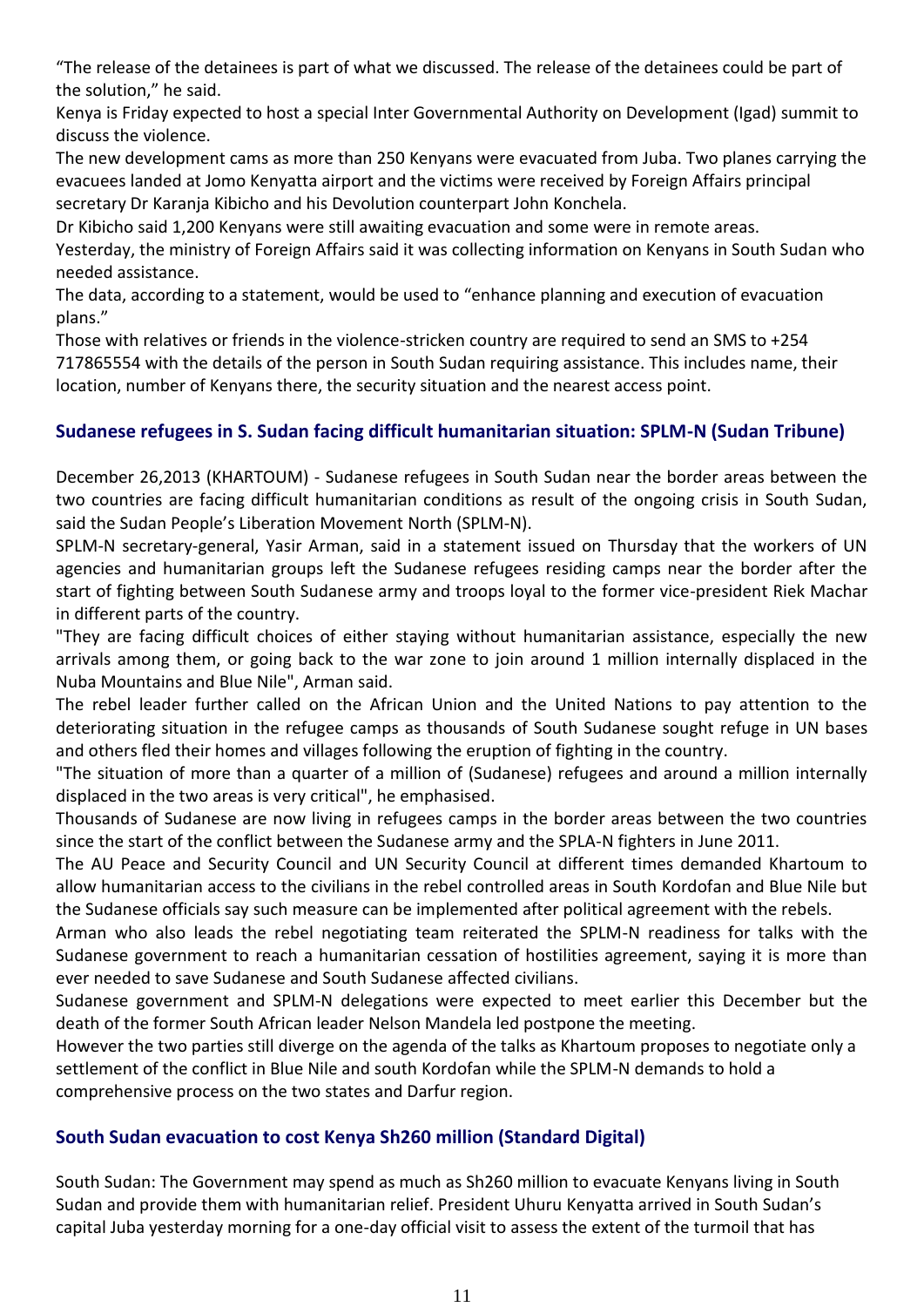"The release of the detainees is part of what we discussed. The release of the detainees could be part of the solution," he said.

Kenya is Friday expected to host a special Inter Governmental Authority on Development (Igad) summit to discuss the violence.

The new development cams as more than 250 Kenyans were evacuated from Juba. Two planes carrying the evacuees landed at Jomo Kenyatta airport and the victims were received by Foreign Affairs principal secretary Dr Karanja Kibicho and his Devolution counterpart John Konchela.

Dr Kibicho said 1,200 Kenyans were still awaiting evacuation and some were in remote areas.

Yesterday, the ministry of Foreign Affairs said it was collecting information on Kenyans in South Sudan who needed assistance.

The data, according to a statement, would be used to "enhance planning and execution of evacuation plans."

Those with relatives or friends in the violence-stricken country are required to send an SMS to +254 717865554 with the details of the person in South Sudan requiring assistance. This includes name, their location, number of Kenyans there, the security situation and the nearest access point.

## **Sudanese refugees in S. Sudan facing difficult humanitarian situation: SPLM-N (Sudan Tribune)**

December 26,2013 (KHARTOUM) - Sudanese refugees in South Sudan near the border areas between the two countries are facing difficult humanitarian conditions as result of the ongoing crisis in South Sudan, said the Sudan People's Liberation Movement North (SPLM-N).

SPLM-N secretary-general, Yasir Arman, said in a statement issued on Thursday that the workers of UN agencies and humanitarian groups left the Sudanese refugees residing camps near the border after the start of fighting between South Sudanese army and troops loyal to the former vice-president Riek Machar in different parts of the country.

"They are facing difficult choices of either staying without humanitarian assistance, especially the new arrivals among them, or going back to the war zone to join around 1 million internally displaced in the Nuba Mountains and Blue Nile", Arman said.

The rebel leader further called on the African Union and the United Nations to pay attention to the deteriorating situation in the refugee camps as thousands of South Sudanese sought refuge in UN bases and others fled their homes and villages following the eruption of fighting in the country.

"The situation of more than a quarter of a million of (Sudanese) refugees and around a million internally displaced in the two areas is very critical", he emphasised.

Thousands of Sudanese are now living in refugees camps in the border areas between the two countries since the start of the conflict between the Sudanese army and the SPLA-N fighters in June 2011.

The AU Peace and Security Council and UN Security Council at different times demanded Khartoum to allow humanitarian access to the civilians in the rebel controlled areas in South Kordofan and Blue Nile but the Sudanese officials say such measure can be implemented after political agreement with the rebels.

Arman who also leads the rebel negotiating team reiterated the SPLM-N readiness for talks with the Sudanese government to reach a humanitarian cessation of hostilities agreement, saying it is more than ever needed to save Sudanese and South Sudanese affected civilians.

Sudanese government and SPLM-N delegations were expected to meet earlier this December but the death of the former South African leader Nelson Mandela led postpone the meeting.

However the two parties still diverge on the agenda of the talks as Khartoum proposes to negotiate only a settlement of the conflict in Blue Nile and south Kordofan while the SPLM-N demands to hold a comprehensive process on the two states and Darfur region.

## **South Sudan evacuation to cost Kenya Sh260 million (Standard Digital)**

South Sudan: The Government may spend as much as Sh260 million to evacuate Kenyans living in South Sudan and provide them with humanitarian relief. President Uhuru Kenyatta arrived in South Sudan's capital Juba yesterday morning for a one-day official visit to assess the extent of the turmoil that has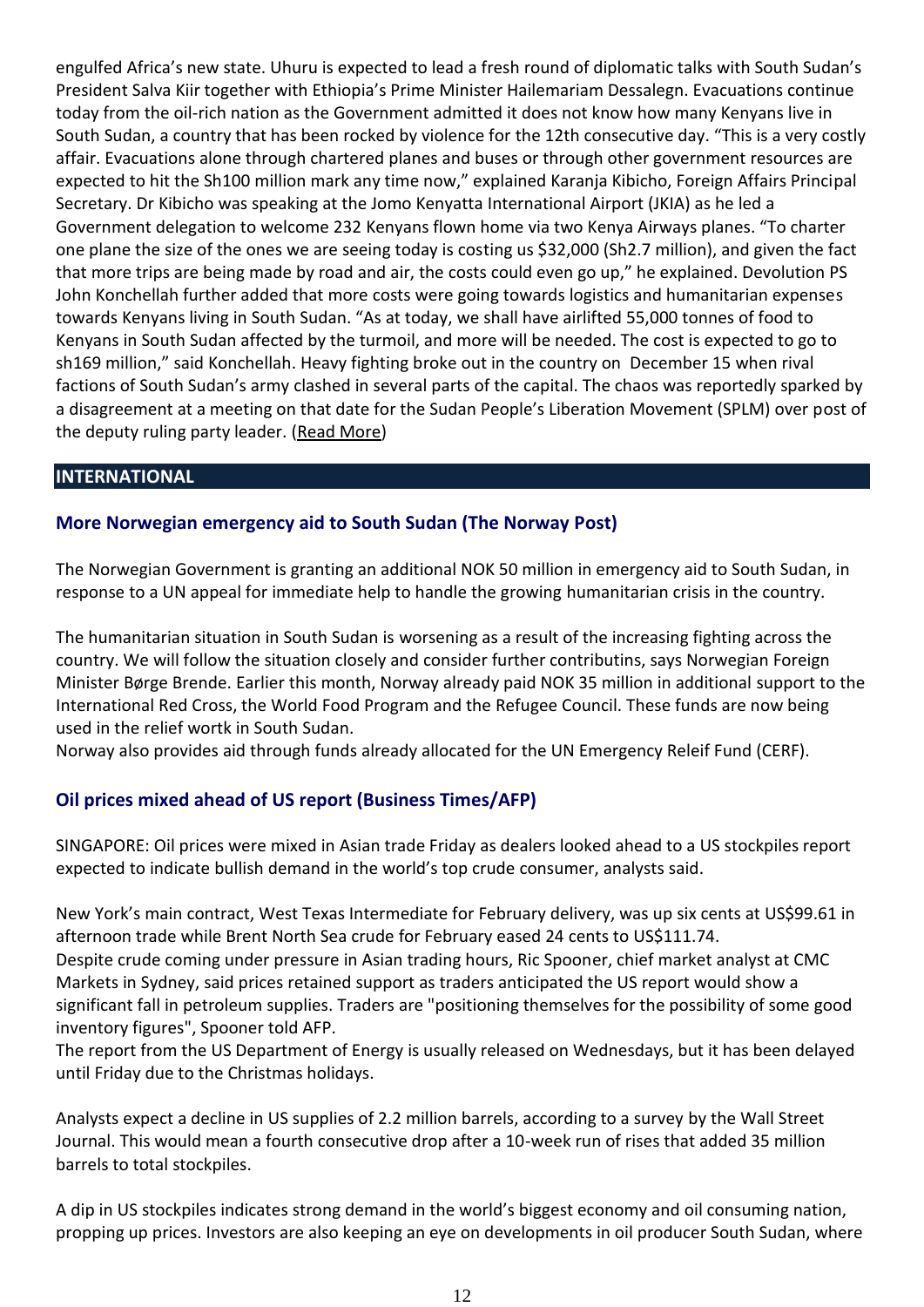engulfed Africa's new state. Uhuru is expected to lead a fresh round of diplomatic talks with South Sudan's President Salva Kiir together with Ethiopia's Prime Minister Hailemariam Dessalegn. Evacuations continue today from the oil-rich nation as the Government admitted it does not know how many Kenyans live in South Sudan, a country that has been rocked by violence for the 12th consecutive day. "This is a very costly affair. Evacuations alone through chartered planes and buses or through other government resources are expected to hit the Sh100 million mark any time now," explained Karanja Kibicho, Foreign Affairs Principal Secretary. Dr Kibicho was speaking at the Jomo Kenyatta International Airport (JKIA) as he led a Government delegation to welcome 232 Kenyans flown home via two Kenya Airways planes. "To charter one plane the size of the ones we are seeing today is costing us \$32,000 (Sh2.7 million), and given the fact that more trips are being made by road and air, the costs could even go up," he explained. Devolution PS John Konchellah further added that more costs were going towards logistics and humanitarian expenses towards Kenyans living in South Sudan. "As at today, we shall have airlifted 55,000 tonnes of food to Kenyans in South Sudan affected by the turmoil, and more will be needed. The cost is expected to go to sh169 million," said Konchellah. Heavy fighting broke out in the country on December 15 when rival factions of South Sudan's army clashed in several parts of the capital. The chaos was reportedly sparked by a disagreement at a meeting on that date for the Sudan People's Liberation Movement (SPLM) over post of the deputy ruling party leader. [\(Read More\)](http://www.standardmedia.co.ke/?articleID=2000100878&story_title=south-sudan-evacuation-to-cost-kenya-sh260-million)

#### **INTERNATIONAL**

#### **More Norwegian emergency aid to South Sudan (The Norway Post)**

The Norwegian Government is granting an additional NOK 50 million in emergency aid to South Sudan, in response to a UN appeal for immediate help to handle the growing humanitarian crisis in the country.

The humanitarian situation in South Sudan is worsening as a result of the increasing fighting across the country. We will follow the situation closely and consider further contributins, says Norwegian Foreign Minister Børge Brende. Earlier this month, Norway already paid NOK 35 million in additional support to the International Red Cross, the World Food Program and the Refugee Council. These funds are now being used in the relief wortk in South Sudan.

Norway also provides aid through funds already allocated for the UN Emergency Releif Fund (CERF).

## **Oil prices mixed ahead of US report (Business Times/AFP)**

SINGAPORE: Oil prices were mixed in Asian trade Friday as dealers looked ahead to a US stockpiles report expected to indicate bullish demand in the world's top crude consumer, analysts said.

New York's main contract, West Texas Intermediate for February delivery, was up six cents at US\$99.61 in afternoon trade while Brent North Sea crude for February eased 24 cents to US\$111.74. Despite crude coming under pressure in Asian trading hours, Ric Spooner, chief market analyst at CMC Markets in Sydney, said prices retained support as traders anticipated the US report would show a significant fall in petroleum supplies. Traders are "positioning themselves for the possibility of some good inventory figures", Spooner told AFP.

The report from the US Department of Energy is usually released on Wednesdays, but it has been delayed until Friday due to the Christmas holidays.

Analysts expect a decline in US supplies of 2.2 million barrels, according to a survey by the Wall Street Journal. This would mean a fourth consecutive drop after a 10-week run of rises that added 35 million barrels to total stockpiles.

A dip in US stockpiles indicates strong demand in the world's biggest economy and oil consuming nation, propping up prices. Investors are also keeping an eye on developments in oil producer South Sudan, where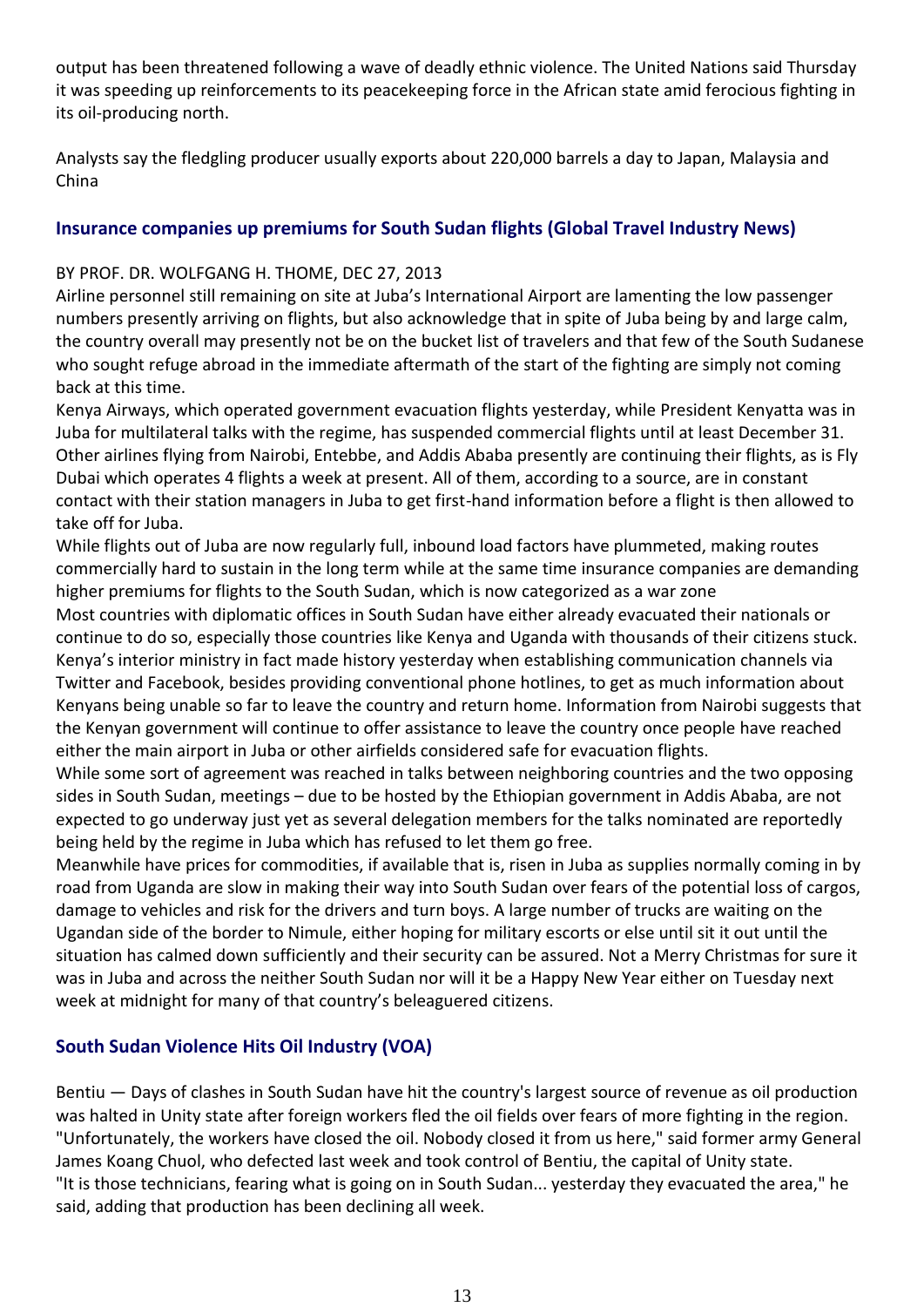output has been threatened following a wave of deadly ethnic violence. The United Nations said Thursday it was speeding up reinforcements to its peacekeeping force in the African state amid ferocious fighting in its oil-producing north.

Analysts say the fledgling producer usually exports about 220,000 barrels a day to Japan, Malaysia and China

#### **Insurance companies up premiums for South Sudan flights (Global Travel Industry News)**

#### BY PROF. DR. WOLFGANG H. THOME, DEC 27, 2013

Airline personnel still remaining on site at Juba's International Airport are lamenting the low passenger numbers presently arriving on flights, but also acknowledge that in spite of Juba being by and large calm, the country overall may presently not be on the bucket list of travelers and that few of the South Sudanese who sought refuge abroad in the immediate aftermath of the start of the fighting are simply not coming back at this time.

Kenya Airways, which operated government evacuation flights yesterday, while President Kenyatta was in Juba for multilateral talks with the regime, has suspended commercial flights until at least December 31. Other airlines flying from Nairobi, Entebbe, and Addis Ababa presently are continuing their flights, as is Fly Dubai which operates 4 flights a week at present. All of them, according to a source, are in constant contact with their station managers in Juba to get first-hand information before a flight is then allowed to take off for Juba.

While flights out of Juba are now regularly full, inbound load factors have plummeted, making routes commercially hard to sustain in the long term while at the same time insurance companies are demanding higher premiums for flights to the South Sudan, which is now categorized as a war zone

Most countries with diplomatic offices in South Sudan have either already evacuated their nationals or continue to do so, especially those countries like Kenya and Uganda with thousands of their citizens stuck. Kenya's interior ministry in fact made history yesterday when establishing communication channels via Twitter and Facebook, besides providing conventional phone hotlines, to get as much information about Kenyans being unable so far to leave the country and return home. Information from Nairobi suggests that the Kenyan government will continue to offer assistance to leave the country once people have reached either the main airport in Juba or other airfields considered safe for evacuation flights.

While some sort of agreement was reached in talks between neighboring countries and the two opposing sides in South Sudan, meetings – due to be hosted by the Ethiopian government in Addis Ababa, are not expected to go underway just yet as several delegation members for the talks nominated are reportedly being held by the regime in Juba which has refused to let them go free.

Meanwhile have prices for commodities, if available that is, risen in Juba as supplies normally coming in by road from Uganda are slow in making their way into South Sudan over fears of the potential loss of cargos, damage to vehicles and risk for the drivers and turn boys. A large number of trucks are waiting on the Ugandan side of the border to Nimule, either hoping for military escorts or else until sit it out until the situation has calmed down sufficiently and their security can be assured. Not a Merry Christmas for sure it was in Juba and across the neither South Sudan nor will it be a Happy New Year either on Tuesday next week at midnight for many of that country's beleaguered citizens.

## **South Sudan Violence Hits Oil Industry (VOA)**

Bentiu — Days of clashes in South Sudan have hit the country's largest source of revenue as oil production was halted in Unity state after foreign workers fled the oil fields over fears of more fighting in the region. "Unfortunately, the workers have closed the oil. Nobody closed it from us here," said former army General James Koang Chuol, who defected last week and took control of Bentiu, the capital of Unity state. "It is those technicians, fearing what is going on in South Sudan... yesterday they evacuated the area," he said, adding that production has been declining all week.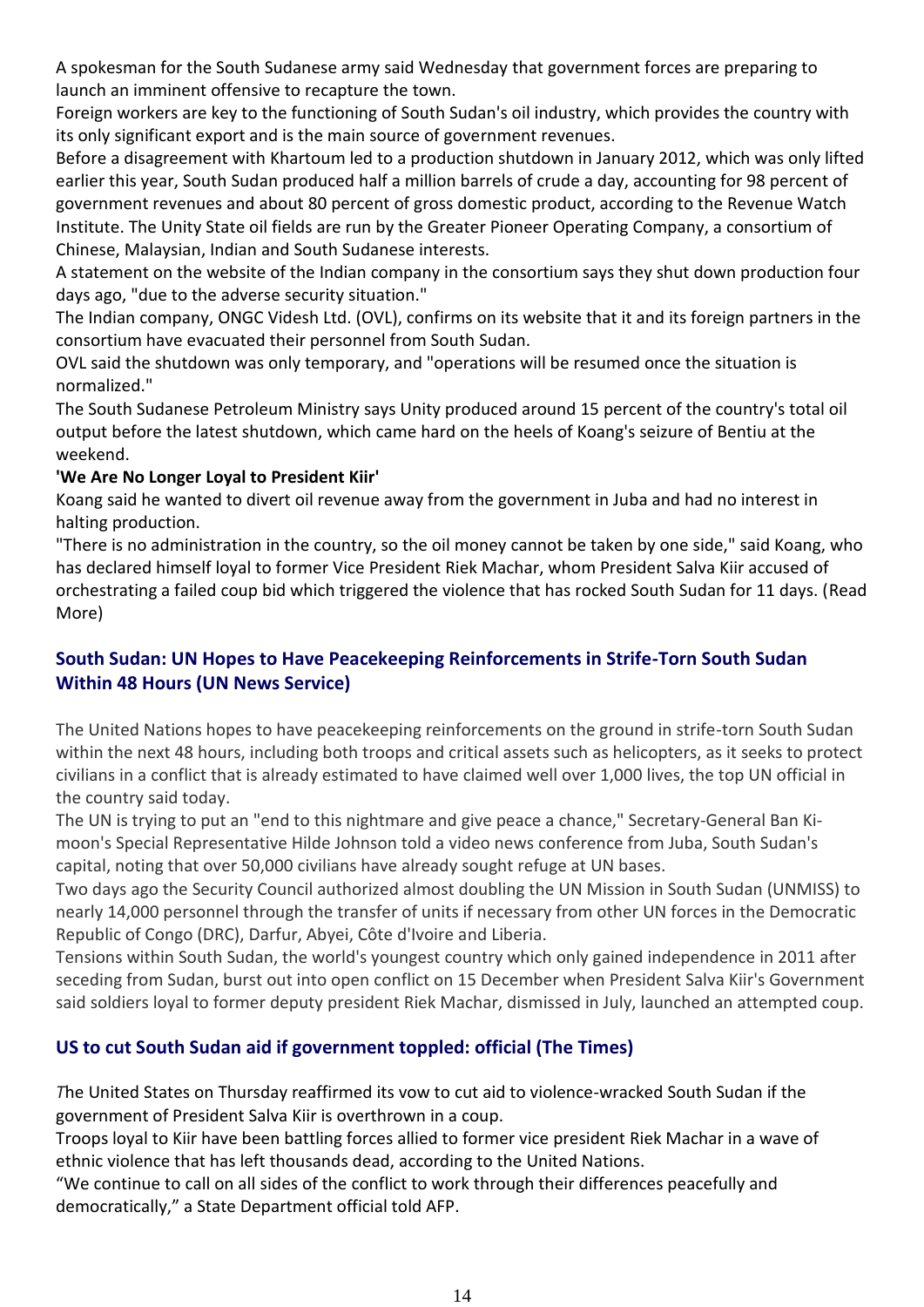A spokesman for the South Sudanese army said Wednesday that government forces are preparing to launch an imminent offensive to recapture the town.

Foreign workers are key to the functioning of South Sudan's oil industry, which provides the country with its only significant export and is the main source of government revenues.

Before a disagreement with Khartoum led to a production shutdown in January 2012, which was only lifted earlier this year, South Sudan produced half a million barrels of crude a day, accounting for 98 percent of government revenues and about 80 percent of gross domestic product, according to the Revenue Watch Institute. The Unity State oil fields are run by the Greater Pioneer Operating Company, a consortium of Chinese, Malaysian, Indian and South Sudanese interests.

A statement on the website of the Indian company in the consortium says they shut down production four days ago, "due to the adverse security situation."

The Indian company, ONGC Videsh Ltd. (OVL), confirms on its website that it and its foreign partners in the consortium have evacuated their personnel from South Sudan.

OVL said the shutdown was only temporary, and "operations will be resumed once the situation is normalized."

The South Sudanese Petroleum Ministry says Unity produced around 15 percent of the country's total oil output before the latest shutdown, which came hard on the heels of Koang's seizure of Bentiu at the weekend.

## **'We Are No Longer Loyal to President Kiir'**

Koang said he wanted to divert oil revenue away from the government in Juba and had no interest in halting production.

"There is no administration in the country, so the oil money cannot be taken by one side," said Koang, who has declared himself loyal to former Vice President Riek Machar, whom President Salva Kiir accused of orchestrating a failed coup bid which triggered the violence that has rocked South Sudan for 11 days. [\(Read](http://allafrica.com/stories/201312270222.html?viewall=1)  [More\)](http://allafrica.com/stories/201312270222.html?viewall=1)

# **South Sudan: UN Hopes to Have Peacekeeping Reinforcements in Strife-Torn South Sudan Within 48 Hours (UN News Service)**

The United Nations hopes to have peacekeeping reinforcements on the ground in strife-torn South Sudan within the next 48 hours, including both troops and critical assets such as helicopters, as it seeks to protect civilians in a conflict that is already estimated to have claimed well over 1,000 lives, the top UN official in the country said today.

The UN is trying to put an "end to this nightmare and give peace a chance," Secretary-General Ban Kimoon's Special Representative Hilde Johnson told a video news conference from Juba, South Sudan's capital, noting that over 50,000 civilians have already sought refuge at UN bases.

Two days ago the Security Council authorized almost doubling the UN Mission in South Sudan (UNMISS) to nearly 14,000 personnel through the transfer of units if necessary from other UN forces in the Democratic Republic of Congo (DRC), Darfur, Abyei, Côte d'Ivoire and Liberia.

Tensions within South Sudan, the world's youngest country which only gained independence in 2011 after seceding from Sudan, burst out into open conflict on 15 December when President Salva Kiir's Government said soldiers loyal to former deputy president Riek Machar, dismissed in July, launched an attempted coup.

# **US to cut South Sudan aid if government toppled: official (The Times)**

*T*he United States on Thursday reaffirmed its vow to cut aid to violence-wracked South Sudan if the government of President Salva Kiir is overthrown in a coup.

Troops loyal to Kiir have been battling forces allied to former vice president Riek Machar in a wave of ethnic violence that has left thousands dead, according to the United Nations.

"We continue to call on all sides of the conflict to work through their differences peacefully and democratically," a State Department official told AFP.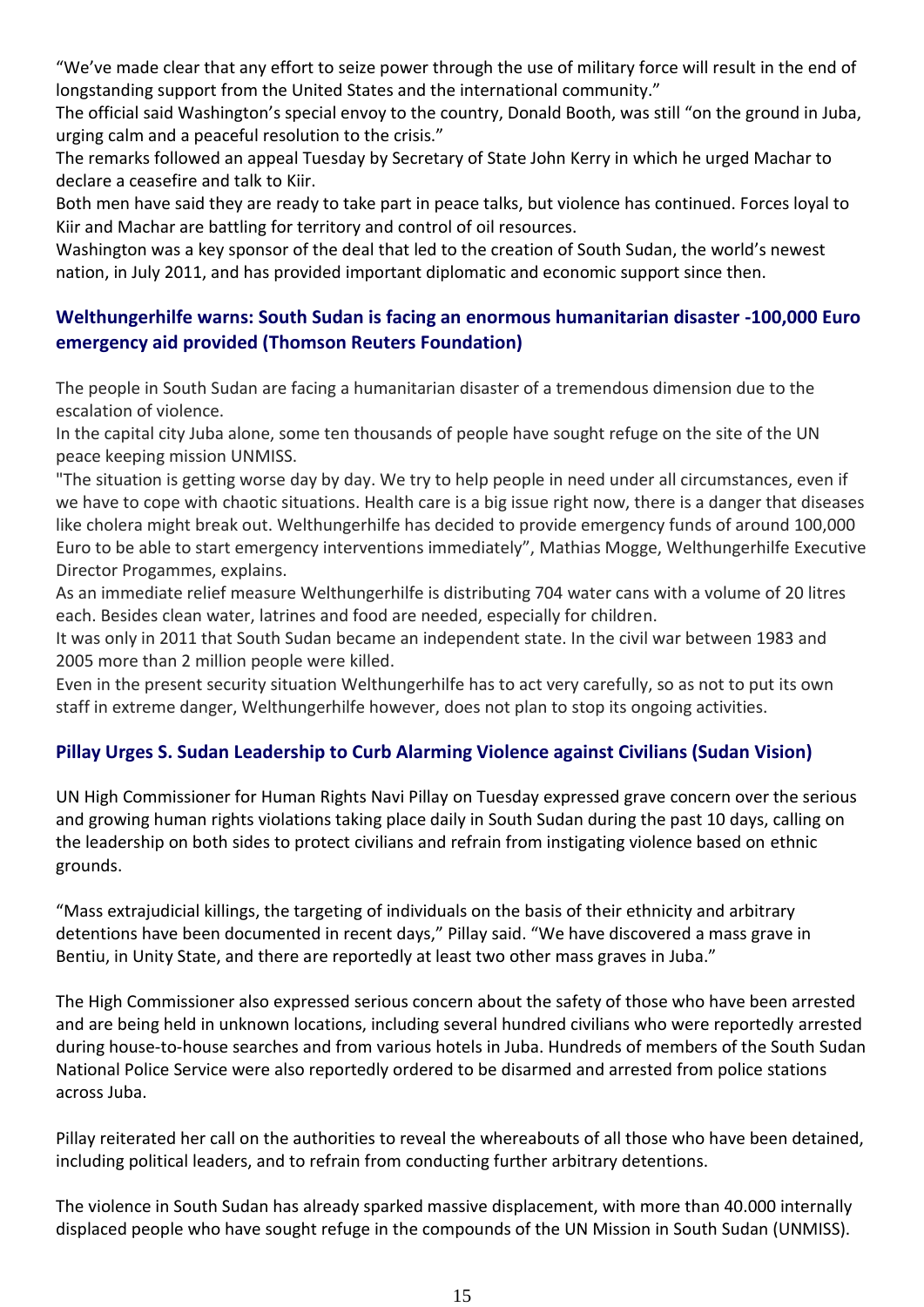"We've made clear that any effort to seize power through the use of military force will result in the end of longstanding support from the United States and the international community."

The official said Washington's special envoy to the country, Donald Booth, was still "on the ground in Juba, urging calm and a peaceful resolution to the crisis."

The remarks followed an appeal Tuesday by Secretary of State John Kerry in which he urged Machar to declare a ceasefire and talk to Kiir.

Both men have said they are ready to take part in peace talks, but violence has continued. Forces loyal to Kiir and Machar are battling for territory and control of oil resources.

Washington was a key sponsor of the deal that led to the creation of South Sudan, the world's newest nation, in July 2011, and has provided important diplomatic and economic support since then.

# **Welthungerhilfe warns: South Sudan is facing an enormous humanitarian disaster -100,000 Euro emergency aid provided (Thomson Reuters Foundation)**

The people in South Sudan are facing a humanitarian disaster of a tremendous dimension due to the escalation of violence.

In the capital city Juba alone, some ten thousands of people have sought refuge on the site of the UN peace keeping mission UNMISS.

"The situation is getting worse day by day. We try to help people in need under all circumstances, even if we have to cope with chaotic situations. Health care is a big issue right now, there is a danger that diseases like cholera might break out. Welthungerhilfe has decided to provide emergency funds of around 100,000 Euro to be able to start emergency interventions immediately", Mathias Mogge, Welthungerhilfe Executive Director Progammes, explains.

As an immediate relief measure Welthungerhilfe is distributing 704 water cans with a volume of 20 litres each. Besides clean water, latrines and food are needed, especially for children.

It was only in 2011 that South Sudan became an independent state. In the civil war between 1983 and 2005 more than 2 million people were killed.

Even in the present security situation Welthungerhilfe has to act very carefully, so as not to put its own staff in extreme danger, Welthungerhilfe however, does not plan to stop its ongoing activities.

## **Pillay Urges S. Sudan Leadership to Curb Alarming Violence against Civilians (Sudan Vision)**

UN High Commissioner for Human Rights Navi Pillay on Tuesday expressed grave concern over the serious and growing human rights violations taking place daily in South Sudan during the past 10 days, calling on the leadership on both sides to protect civilians and refrain from instigating violence based on ethnic grounds.

"Mass extrajudicial killings, the targeting of individuals on the basis of their ethnicity and arbitrary detentions have been documented in recent days," Pillay said. "We have discovered a mass grave in Bentiu, in Unity State, and there are reportedly at least two other mass graves in Juba."

The High Commissioner also expressed serious concern about the safety of those who have been arrested and are being held in unknown locations, including several hundred civilians who were reportedly arrested during house-to-house searches and from various hotels in Juba. Hundreds of members of the South Sudan National Police Service were also reportedly ordered to be disarmed and arrested from police stations across Juba.

Pillay reiterated her call on the authorities to reveal the whereabouts of all those who have been detained, including political leaders, and to refrain from conducting further arbitrary detentions.

The violence in South Sudan has already sparked massive displacement, with more than 40.000 internally displaced people who have sought refuge in the compounds of the UN Mission in South Sudan (UNMISS).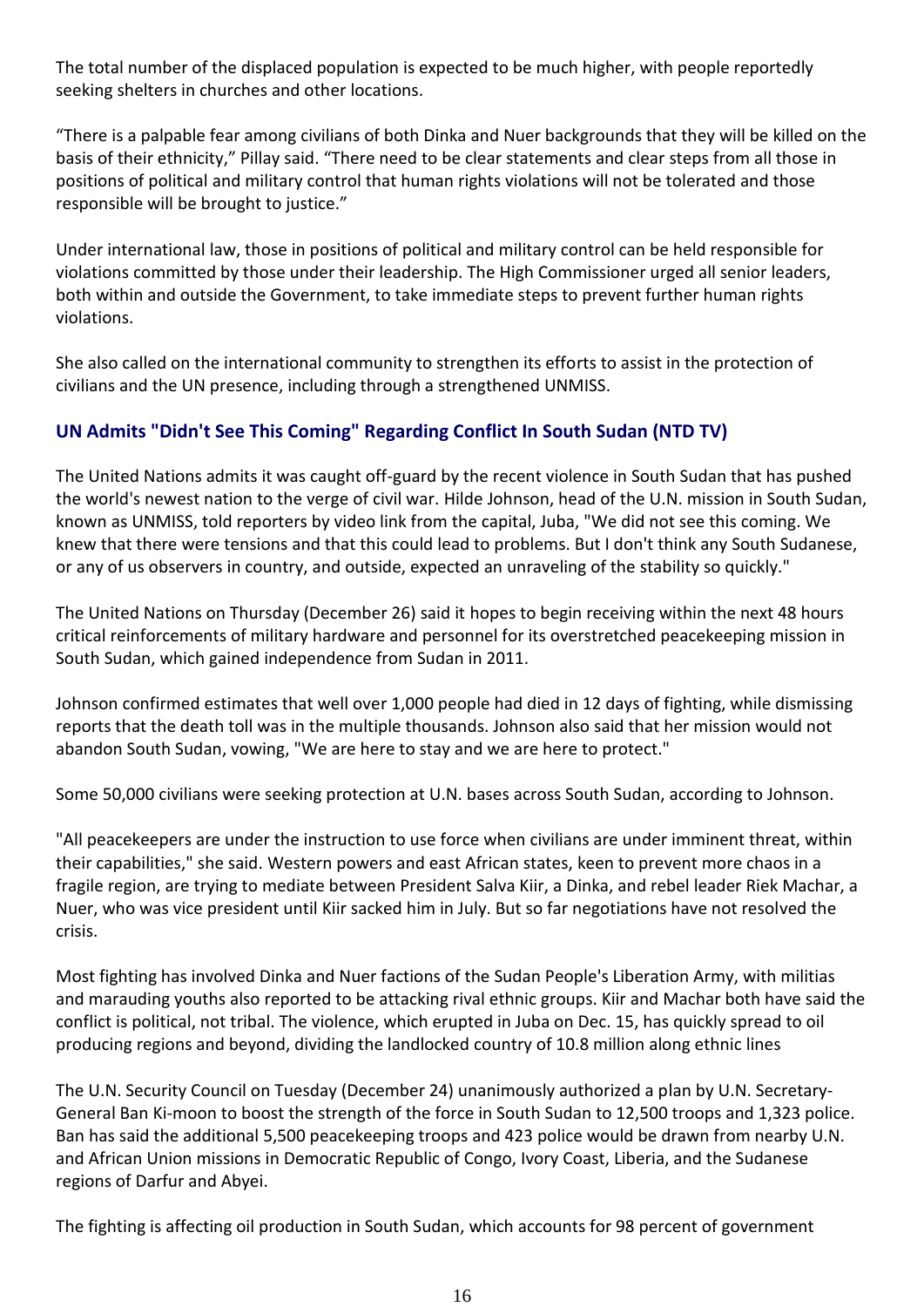The total number of the displaced population is expected to be much higher, with people reportedly seeking shelters in churches and other locations.

"There is a palpable fear among civilians of both Dinka and Nuer backgrounds that they will be killed on the basis of their ethnicity," Pillay said. "There need to be clear statements and clear steps from all those in positions of political and military control that human rights violations will not be tolerated and those responsible will be brought to justice."

Under international law, those in positions of political and military control can be held responsible for violations committed by those under their leadership. The High Commissioner urged all senior leaders, both within and outside the Government, to take immediate steps to prevent further human rights violations.

She also called on the international community to strengthen its efforts to assist in the protection of civilians and the UN presence, including through a strengthened UNMISS.

# **UN Admits "Didn't See This Coming" Regarding Conflict In South Sudan (NTD TV)**

The United Nations admits it was caught off-guard by the recent violence in South Sudan that has pushed the world's newest nation to the verge of civil war. Hilde Johnson, head of the U.N. mission in South Sudan, known as UNMISS, told reporters by video link from the capital, Juba, "We did not see this coming. We knew that there were tensions and that this could lead to problems. But I don't think any South Sudanese, or any of us observers in country, and outside, expected an unraveling of the stability so quickly."

The United Nations on Thursday (December 26) said it hopes to begin receiving within the next 48 hours critical reinforcements of military hardware and personnel for its overstretched peacekeeping mission in South Sudan, which gained independence from Sudan in 2011.

Johnson confirmed estimates that well over 1,000 people had died in 12 days of fighting, while dismissing reports that the death toll was in the multiple thousands. Johnson also said that her mission would not abandon South Sudan, vowing, "We are here to stay and we are here to protect."

Some 50,000 civilians were seeking protection at U.N. bases across South Sudan, according to Johnson.

"All peacekeepers are under the instruction to use force when civilians are under imminent threat, within their capabilities," she said. Western powers and east African states, keen to prevent more chaos in a fragile region, are trying to mediate between President Salva Kiir, a Dinka, and rebel leader Riek Machar, a Nuer, who was vice president until Kiir sacked him in July. But so far negotiations have not resolved the crisis.

Most fighting has involved Dinka and Nuer factions of the Sudan People's Liberation Army, with militias and marauding youths also reported to be attacking rival ethnic groups. Kiir and Machar both have said the conflict is political, not tribal. The violence, which erupted in Juba on Dec. 15, has quickly spread to oil producing regions and beyond, dividing the landlocked country of 10.8 million along ethnic lines

The U.N. Security Council on Tuesday (December 24) unanimously authorized a plan by U.N. Secretary-General Ban Ki-moon to boost the strength of the force in South Sudan to 12,500 troops and 1,323 police. Ban has said the additional 5,500 peacekeeping troops and 423 police would be drawn from nearby U.N. and African Union missions in Democratic Republic of Congo, Ivory Coast, Liberia, and the Sudanese regions of Darfur and Abyei.

The fighting is affecting oil production in South Sudan, which accounts for 98 percent of government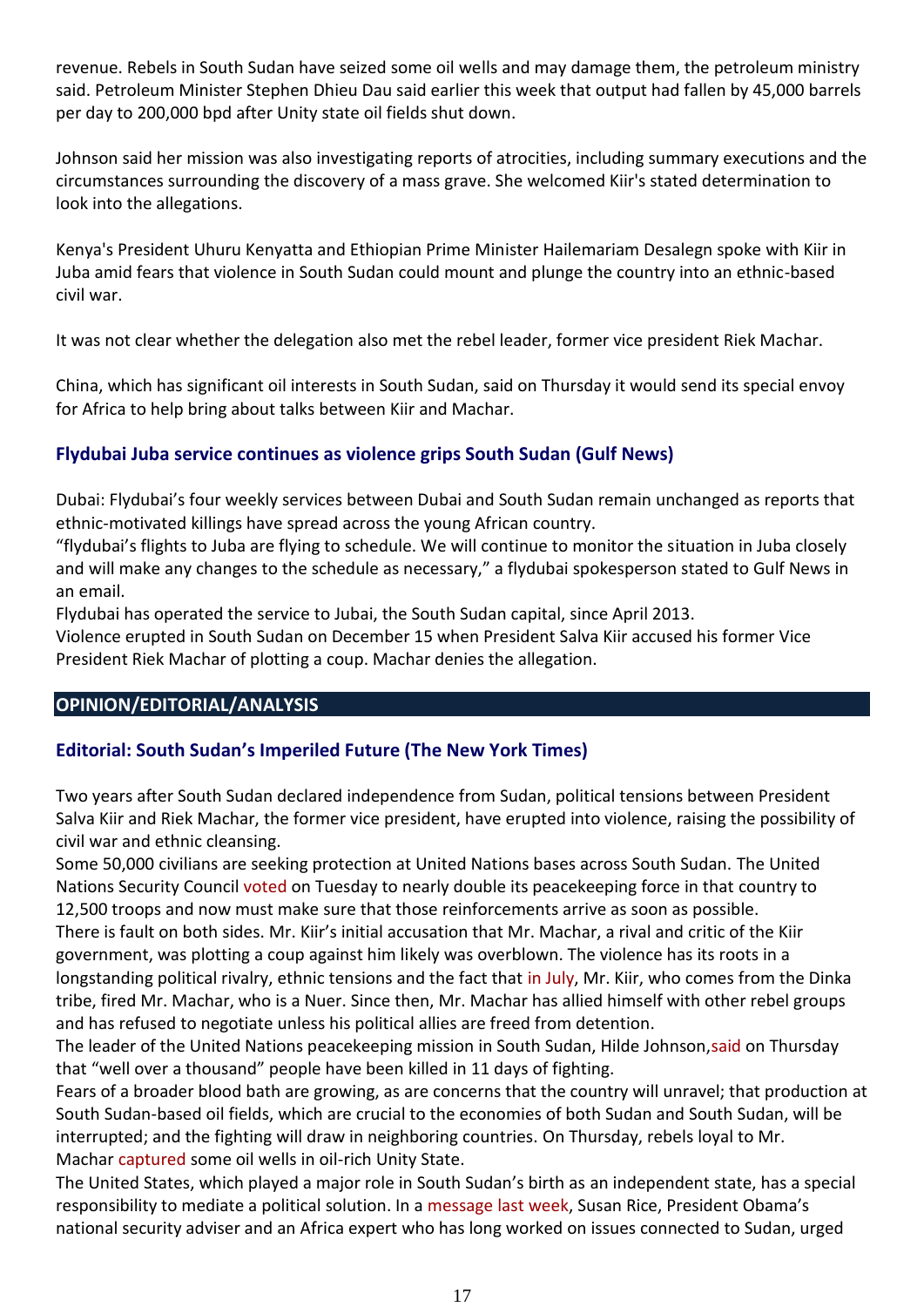revenue. Rebels in South Sudan have seized some oil wells and may damage them, the petroleum ministry said. Petroleum Minister Stephen Dhieu Dau said earlier this week that output had fallen by 45,000 barrels per day to 200,000 bpd after Unity state oil fields shut down.

Johnson said her mission was also investigating reports of atrocities, including summary executions and the circumstances surrounding the discovery of a mass grave. She welcomed Kiir's stated determination to look into the allegations.

Kenya's President Uhuru Kenyatta and Ethiopian Prime Minister Hailemariam Desalegn spoke with Kiir in Juba amid fears that violence in South Sudan could mount and plunge the country into an ethnic-based civil war.

It was not clear whether the delegation also met the rebel leader, former vice president Riek Machar.

China, which has significant oil interests in South Sudan, said on Thursday it would send its special envoy for Africa to help bring about talks between Kiir and Machar.

# **Flydubai Juba service continues as violence grips South Sudan (Gulf News)**

Dubai: Flydubai's four weekly services between Dubai and South Sudan remain unchanged as reports that ethnic-motivated killings have spread across the young African country.

"flydubai's flights to Juba are flying to schedule. We will continue to monitor the situation in Juba closely and will make any changes to the schedule as necessary," a flydubai spokesperson stated to Gulf News in an email.

Flydubai has operated the service to Jubai, the South Sudan capital, since April 2013.

Violence erupted in South Sudan on December 15 when President Salva Kiir accused his former Vice President Riek Machar of plotting a coup. Machar denies the allegation.

## **OPINION/EDITORIAL/ANALYSIS**

## **Editorial: South Sudan's Imperiled Future (The New York Times)**

Two years after South Sudan declared independence from Sudan, political tensions between President Salva Kiir and Riek Machar, the former vice president, have erupted into violence, raising the possibility of civil war and ethnic cleansing.

Some 50,000 civilians are seeking protection at United Nations bases across South Sudan. The United Nations Security Council [voted](http://www.un.org/apps/news/story.asp?NewsID=46823&Cr=&Cr1=) on Tuesday to nearly double its peacekeeping force in that country to 12,500 troops and now must make sure that those reinforcements arrive as soon as possible. There is fault on both sides. Mr. Kiir's initial accusation that Mr. Machar, a rival and critic of the Kiir government, was plotting a coup against him likely was overblown. The violence has its roots in a longstanding political rivalry, ethnic tensions and the fact that [in July,](http://www.nytimes.com/2013/07/24/world/africa/south-sudan-president-dismisses-cabinet-and-vice-president.html) Mr. Kiir, who comes from the Dinka tribe, fired Mr. Machar, who is a Nuer. Since then, Mr. Machar has allied himself with other rebel groups and has refused to negotiate unless his political allies are freed from detention.

The leader of the United Nations peacekeeping mission in South Sudan, Hilde Johnson[,said](http://bigstory.ap.org/article/un-expects-reinforcements-s-sudan-48-hours) on Thursday that "well over a thousand" people have been killed in 11 days of fighting.

Fears of a broader blood bath are growing, as are concerns that the country will unravel; that production at South Sudan-based oil fields, which are crucial to the economies of both Sudan and South Sudan, will be interrupted; and the fighting will draw in neighboring countries. On Thursday, rebels loyal to Mr. Machar [captured](http://in.reuters.com/article/2013/12/26/southsudan-unrest-idINL6N0K51R720131226) some oil wells in oil-rich Unity State.

The United States, which played a major role in South Sudan's birth as an independent state, has a special responsibility to mediate a political solution. In a [message last week](http://www.whitehouse.gov/blog/2013/12/20/urging-peace-south-sudan), Susan Rice, President Obama's national security adviser and an Africa expert who has long worked on issues connected to Sudan, urged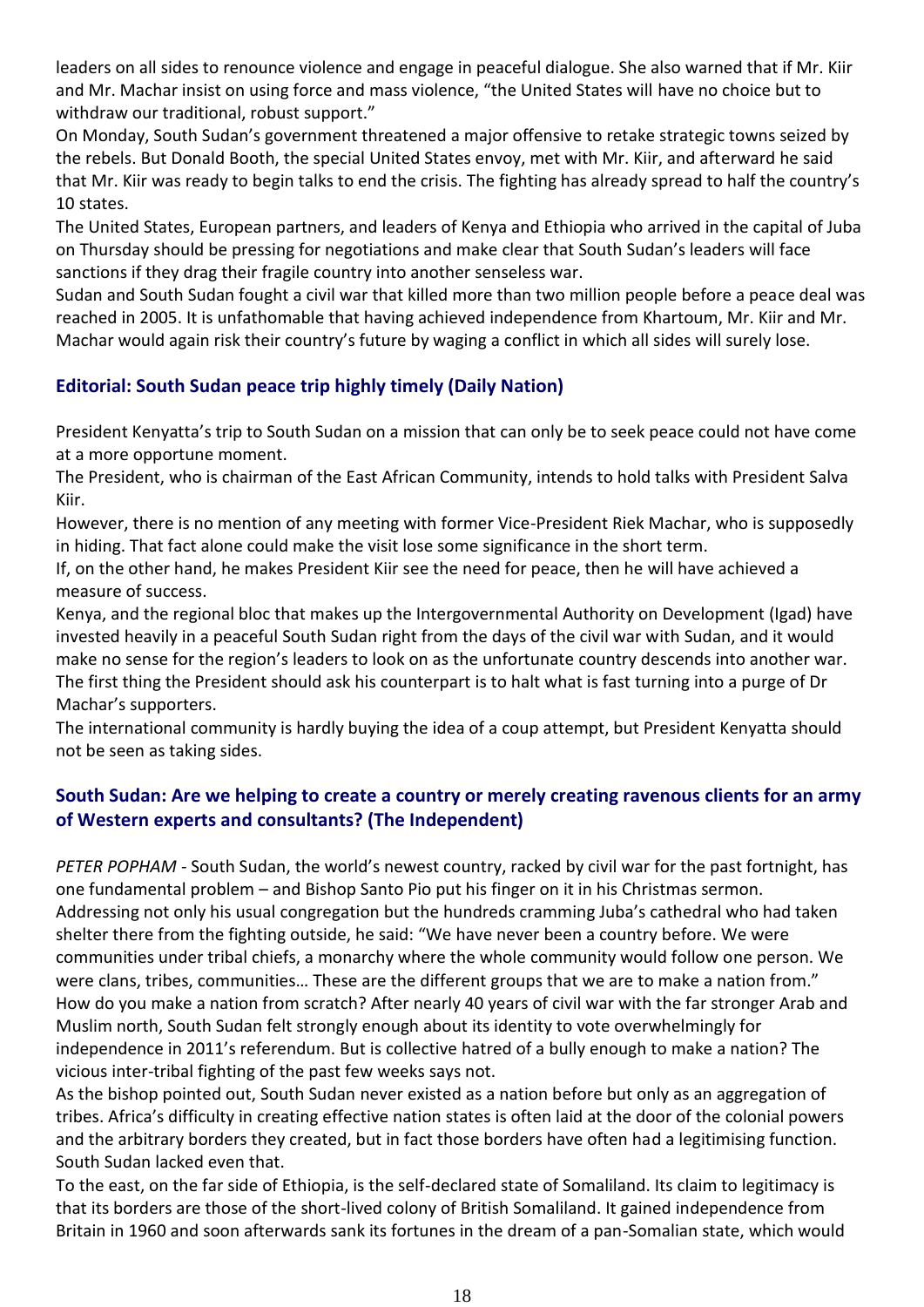leaders on all sides to renounce violence and engage in peaceful dialogue. She also warned that if Mr. Kiir and Mr. Machar insist on using force and mass violence, "the United States will have no choice but to withdraw our traditional, robust support."

On Monday, South Sudan's government threatened a major offensive to retake strategic towns seized by the rebels. But Donald Booth, the special United States envoy, met with Mr. Kiir, and afterward he said that Mr. Kiir was ready to begin talks to end the crisis. The fighting has already spread to half the country's 10 states.

The United States, European partners, and leaders of Kenya and Ethiopia who arrived in the capital of Juba on Thursday should be pressing for negotiations and make clear that South Sudan's leaders will face sanctions if they drag their fragile country into another senseless war.

Sudan and South Sudan fought a civil war that killed more than two million people before a peace deal was reached in 2005. It is unfathomable that having achieved independence from Khartoum, Mr. Kiir and Mr. Machar would again risk their country's future by waging a conflict in which all sides will surely lose.

# **Editorial: South Sudan peace trip highly timely (Daily Nation)**

President Kenyatta's trip to South Sudan on a mission that can only be to seek peace could not have come at a more opportune moment.

The President, who is chairman of the East African Community, intends to hold talks with President Salva Kiir.

However, there is no mention of any meeting with former Vice-President Riek Machar, who is supposedly in hiding. That fact alone could make the visit lose some significance in the short term.

If, on the other hand, he makes President Kiir see the need for peace, then he will have achieved a measure of success.

Kenya, and the regional bloc that makes up the Intergovernmental Authority on Development (Igad) have invested heavily in a peaceful South Sudan right from the days of the civil war with Sudan, and it would make no sense for the region's leaders to look on as the unfortunate country descends into another war. The first thing the President should ask his counterpart is to halt what is fast turning into a purge of Dr Machar's supporters.

The international community is hardly buying the idea of a coup attempt, but President Kenyatta should not be seen as taking sides.

# **South Sudan: Are we helping to create a country or merely creating ravenous clients for an army of Western experts and consultants? (The Independent)**

*PETER POPHAM -* South Sudan, the world's newest country, racked by civil war for the past fortnight, has one fundamental problem – and Bishop Santo Pio put his finger on it in his Christmas sermon. Addressing not only his usual congregation but the hundreds cramming Juba's cathedral who had taken shelter there from the fighting outside, he said: "We have never been a country before. We were communities under tribal chiefs, a monarchy where the whole community would follow one person. We were clans, tribes, communities… These are the different groups that we are to make a nation from." How do you make a nation from scratch? After nearly 40 years of civil war with the far stronger Arab and Muslim north, South Sudan felt strongly enough about its identity to vote overwhelmingly for independence in 2011's referendum. But is collective hatred of a bully enough to make a nation? The vicious inter-tribal fighting of the past few weeks says not.

As the bishop pointed out, South Sudan never existed as a nation before but only as an aggregation of tribes. Africa's difficulty in creating effective nation states is often laid at the door of the colonial powers and the arbitrary borders they created, but in fact those borders have often had a legitimising function. South Sudan lacked even that.

To the east, on the far side of Ethiopia, is the self-declared state of Somaliland. Its claim to legitimacy is that its borders are those of the short-lived colony of British Somaliland. It gained independence from Britain in 1960 and soon afterwards sank its fortunes in the dream of a pan-Somalian state, which would